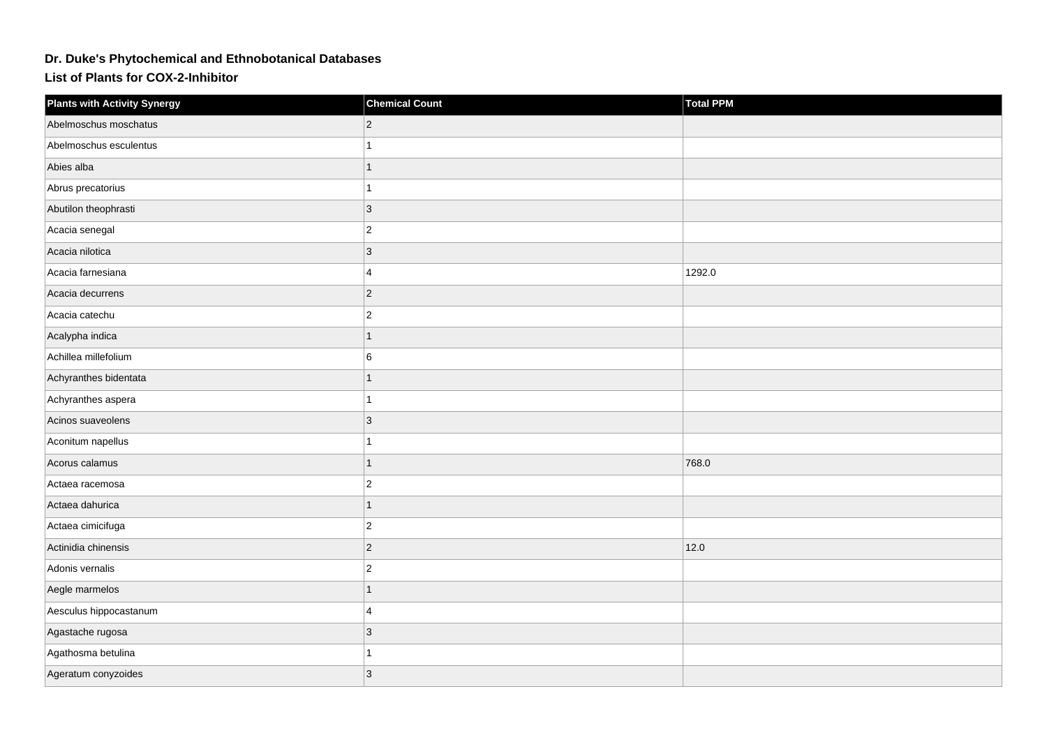## **Dr. Duke's Phytochemical and Ethnobotanical Databases**

**List of Plants for COX-2-Inhibitor**

| <b>Plants with Activity Synergy</b> | <b>Chemical Count</b> | <b>Total PPM</b> |
|-------------------------------------|-----------------------|------------------|
| Abelmoschus moschatus               | $ 2\rangle$           |                  |
| Abelmoschus esculentus              |                       |                  |
| Abies alba                          | 1                     |                  |
| Abrus precatorius                   |                       |                  |
| Abutilon theophrasti                | $ 3\rangle$           |                  |
| Acacia senegal                      | $ 2\rangle$           |                  |
| Acacia nilotica                     | $ 3\rangle$           |                  |
| Acacia farnesiana                   | $\overline{4}$        | 1292.0           |
| Acacia decurrens                    | $ 2\rangle$           |                  |
| Acacia catechu                      | $ 2\rangle$           |                  |
| Acalypha indica                     | 1                     |                  |
| Achillea millefolium                | 6                     |                  |
| Achyranthes bidentata               |                       |                  |
| Achyranthes aspera                  |                       |                  |
| Acinos suaveolens                   | 3                     |                  |
| Aconitum napellus                   | 1                     |                  |
| Acorus calamus                      | 1                     | 768.0            |
| Actaea racemosa                     | $\overline{2}$        |                  |
| Actaea dahurica                     |                       |                  |
| Actaea cimicifuga                   | $ 2\rangle$           |                  |
| Actinidia chinensis                 | $ 2\rangle$           | 12.0             |
| Adonis vernalis                     | $\vert$ 2             |                  |
| Aegle marmelos                      |                       |                  |
| Aesculus hippocastanum              | $\overline{4}$        |                  |
| Agastache rugosa                    | 3                     |                  |
| Agathosma betulina                  |                       |                  |
| Ageratum conyzoides                 | 3                     |                  |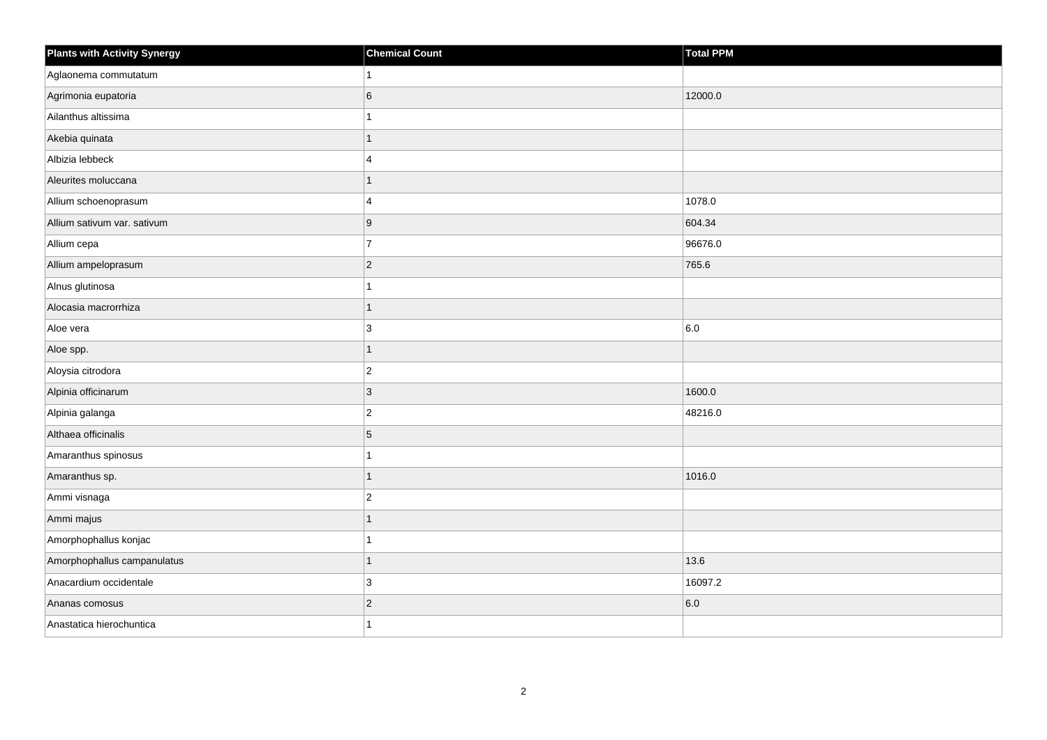| <b>Plants with Activity Synergy</b> | <b>Chemical Count</b>   | Total PPM |
|-------------------------------------|-------------------------|-----------|
| Aglaonema commutatum                | 1                       |           |
| Agrimonia eupatoria                 | 6                       | 12000.0   |
| Ailanthus altissima                 | 1                       |           |
| Akebia quinata                      | $\mathbf{1}$            |           |
| Albizia lebbeck                     | $\overline{\mathbf{4}}$ |           |
| Aleurites moluccana                 | 1                       |           |
| Allium schoenoprasum                | $\overline{4}$          | 1078.0    |
| Allium sativum var. sativum         | 9                       | 604.34    |
| Allium cepa                         | $\overline{7}$          | 96676.0   |
| Allium ampeloprasum                 | $ 2\rangle$             | 765.6     |
| Alnus glutinosa                     | 1                       |           |
| Alocasia macrorrhiza                | 1                       |           |
| Aloe vera                           | 3                       | 6.0       |
| Aloe spp.                           | $\mathbf{1}$            |           |
| Aloysia citrodora                   | $ 2\rangle$             |           |
| Alpinia officinarum                 | $ 3\rangle$             | 1600.0    |
| Alpinia galanga                     | $ 2\rangle$             | 48216.0   |
| Althaea officinalis                 | $\overline{5}$          |           |
| Amaranthus spinosus                 | $\mathbf{1}$            |           |
| Amaranthus sp.                      | $\mathbf{1}$            | 1016.0    |
| Ammi visnaga                        | $ 2\rangle$             |           |
| Ammi majus                          | $\mathbf{1}$            |           |
| Amorphophallus konjac               | 1                       |           |
| Amorphophallus campanulatus         | 1                       | 13.6      |
| Anacardium occidentale              | 3                       | 16097.2   |
| Ananas comosus                      | $ 2\rangle$             | 6.0       |
| Anastatica hierochuntica            | 1                       |           |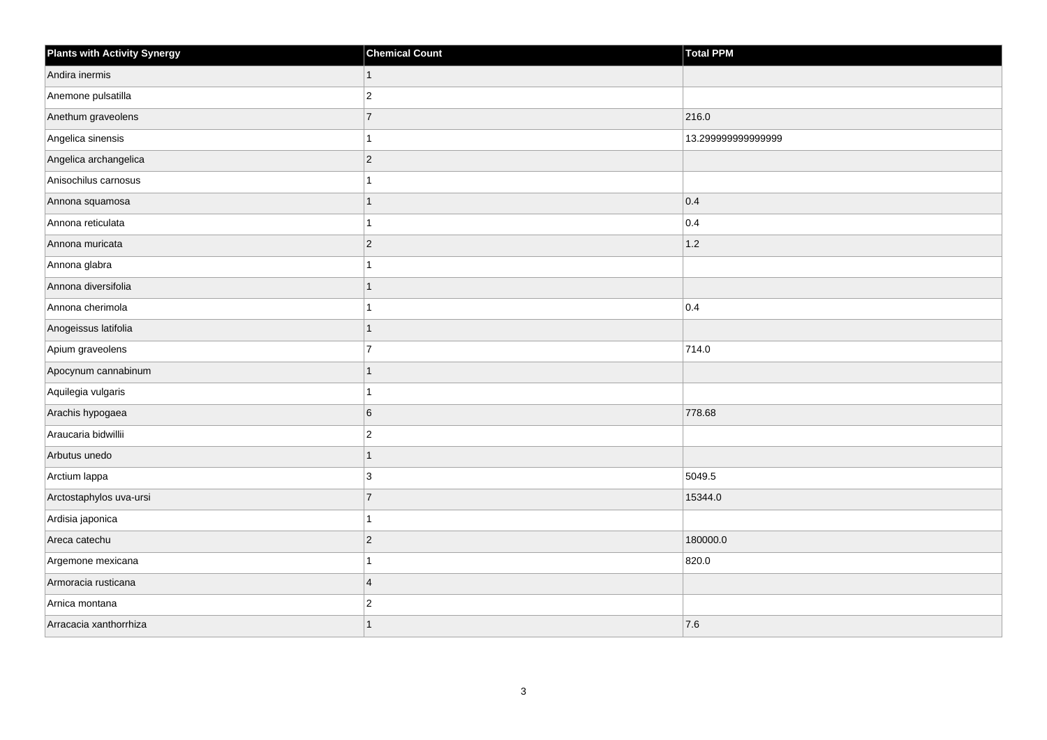| <b>Plants with Activity Synergy</b> | <b>Chemical Count</b> | <b>Total PPM</b>   |
|-------------------------------------|-----------------------|--------------------|
| Andira inermis                      | $\mathbf{1}$          |                    |
| Anemone pulsatilla                  | $\mathbf 2$           |                    |
| Anethum graveolens                  | $\overline{7}$        | 216.0              |
| Angelica sinensis                   | $\mathbf{1}$          | 13.299999999999999 |
| Angelica archangelica               | $\mathbf 2$           |                    |
| Anisochilus carnosus                | $\mathbf{1}$          |                    |
| Annona squamosa                     | $\mathbf{1}$          | 0.4                |
| Annona reticulata                   | $\overline{1}$        | 0.4                |
| Annona muricata                     | $\vert$ 2             | 1.2                |
| Annona glabra                       | $\mathbf{1}$          |                    |
| Annona diversifolia                 | $\mathbf{1}$          |                    |
| Annona cherimola                    | $\mathbf{1}$          | 0.4                |
| Anogeissus latifolia                | $\mathbf{1}$          |                    |
| Apium graveolens                    | $\overline{7}$        | 714.0              |
| Apocynum cannabinum                 | $\overline{1}$        |                    |
| Aquilegia vulgaris                  | $\mathbf{1}$          |                    |
| Arachis hypogaea                    | $\,6$                 | 778.68             |
| Araucaria bidwillii                 | $\overline{c}$        |                    |
| Arbutus unedo                       | $\mathbf{1}$          |                    |
| Arctium lappa                       | 3                     | 5049.5             |
| Arctostaphylos uva-ursi             | $\overline{7}$        | 15344.0            |
| Ardisia japonica                    | $\mathbf{1}$          |                    |
| Areca catechu                       | $\overline{c}$        | 180000.0           |
| Argemone mexicana                   | $\mathbf{1}$          | 820.0              |
| Armoracia rusticana                 | $\overline{4}$        |                    |
| Arnica montana                      | $\overline{2}$        |                    |
| Arracacia xanthorrhiza              | $\overline{1}$        | 7.6                |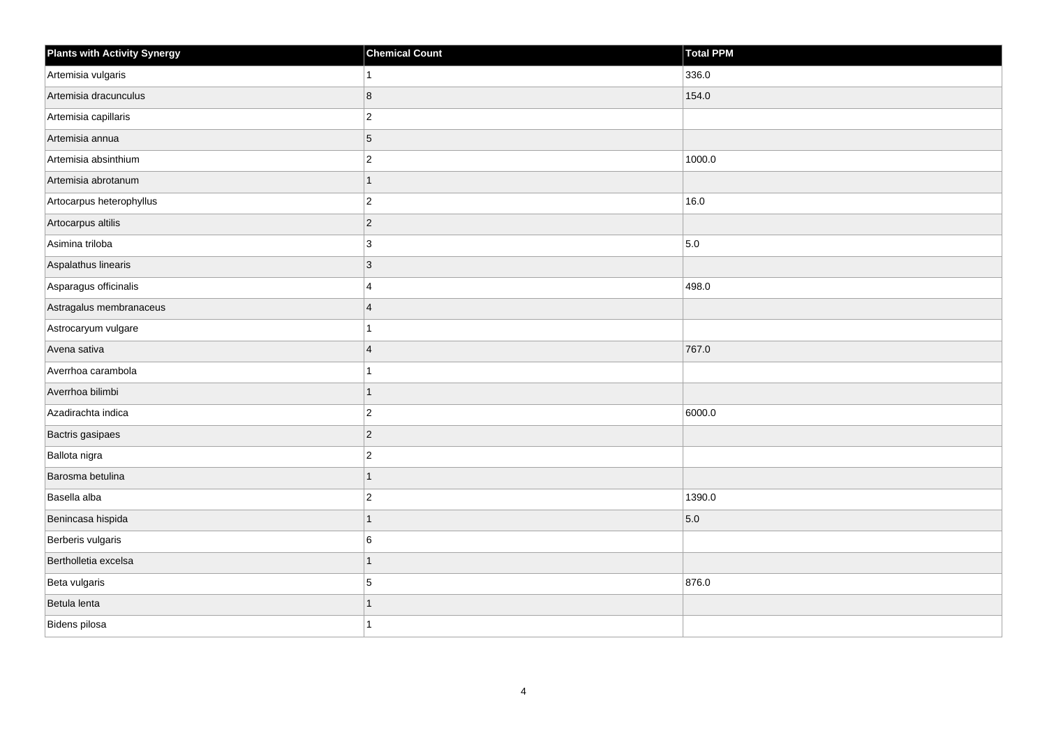| <b>Plants with Activity Synergy</b> | <b>Chemical Count</b> | <b>Total PPM</b> |
|-------------------------------------|-----------------------|------------------|
| Artemisia vulgaris                  | $\mathbf{1}$          | 336.0            |
| Artemisia dracunculus               | 8                     | 154.0            |
| Artemisia capillaris                | $ 2\rangle$           |                  |
| Artemisia annua                     | $\overline{5}$        |                  |
| Artemisia absinthium                | $ 2\rangle$           | 1000.0           |
| Artemisia abrotanum                 | $\overline{1}$        |                  |
| Artocarpus heterophyllus            | $ 2\rangle$           | 16.0             |
| Artocarpus altilis                  | $ 2\rangle$           |                  |
| Asimina triloba                     | $ 3\rangle$           | 5.0              |
| Aspalathus linearis                 | $ 3\rangle$           |                  |
| Asparagus officinalis               | $\overline{4}$        | 498.0            |
| Astragalus membranaceus             | $\overline{4}$        |                  |
| Astrocaryum vulgare                 | 1                     |                  |
| Avena sativa                        | $\overline{4}$        | 767.0            |
| Averrhoa carambola                  | $\mathbf{1}$          |                  |
| Averrhoa bilimbi                    | 1                     |                  |
| Azadirachta indica                  | $ 2\rangle$           | 6000.0           |
| Bactris gasipaes                    | $ 2\rangle$           |                  |
| Ballota nigra                       | $\vert$ 2             |                  |
| Barosma betulina                    | $\mathbf{1}$          |                  |
| Basella alba                        | $\vert$ 2             | 1390.0           |
| Benincasa hispida                   | $\overline{1}$        | 5.0              |
| Berberis vulgaris                   | 6                     |                  |
| Bertholletia excelsa                | $\overline{1}$        |                  |
| Beta vulgaris                       | 5                     | 876.0            |
| Betula lenta                        | 1                     |                  |
| Bidens pilosa                       | 1                     |                  |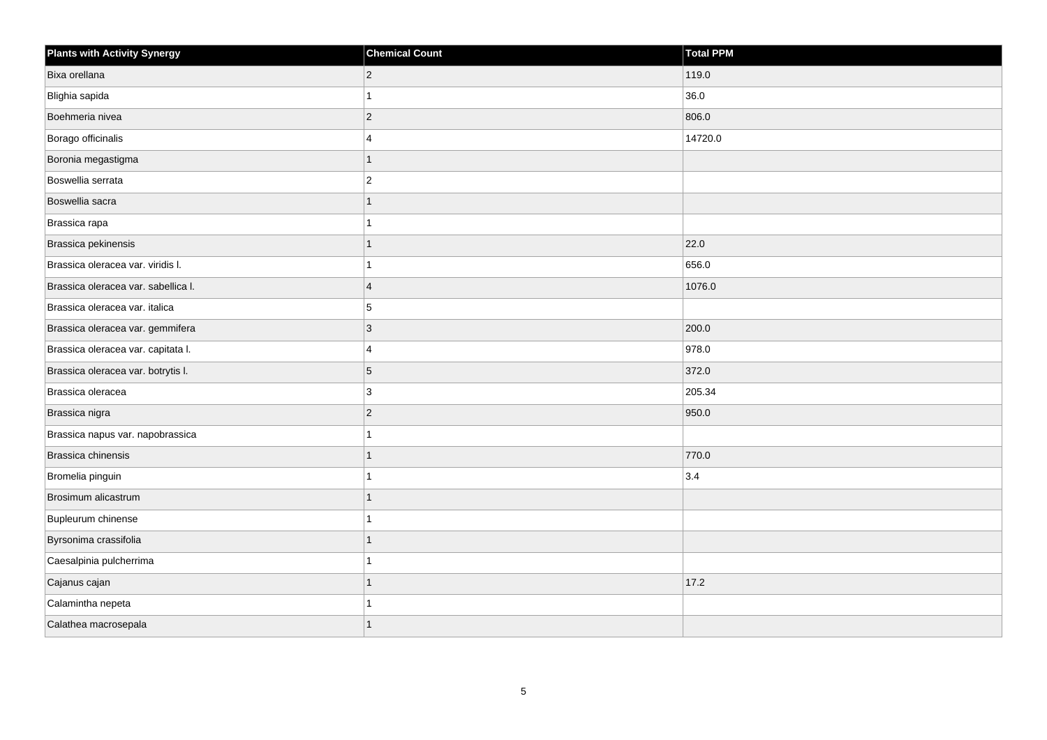| <b>Plants with Activity Synergy</b> | <b>Chemical Count</b> | Total PPM |
|-------------------------------------|-----------------------|-----------|
| Bixa orellana                       | $\overline{2}$        | 119.0     |
| Blighia sapida                      |                       | 36.0      |
| Boehmeria nivea                     | $\overline{2}$        | 806.0     |
| Borago officinalis                  | $\overline{4}$        | 14720.0   |
| Boronia megastigma                  | 1                     |           |
| Boswellia serrata                   | $\overline{2}$        |           |
| Boswellia sacra                     | 1                     |           |
| Brassica rapa                       |                       |           |
| Brassica pekinensis                 |                       | 22.0      |
| Brassica oleracea var. viridis I.   |                       | 656.0     |
| Brassica oleracea var. sabellica I. | $\overline{4}$        | 1076.0    |
| Brassica oleracea var. italica      | 5                     |           |
| Brassica oleracea var. gemmifera    | 3                     | 200.0     |
| Brassica oleracea var. capitata I.  | $\overline{4}$        | 978.0     |
| Brassica oleracea var. botrytis I.  | 5                     | 372.0     |
| Brassica oleracea                   | 3                     | 205.34    |
| Brassica nigra                      | $\overline{2}$        | 950.0     |
| Brassica napus var. napobrassica    |                       |           |
| Brassica chinensis                  | $\overline{1}$        | 770.0     |
| Bromelia pinguin                    |                       | 3.4       |
| Brosimum alicastrum                 |                       |           |
| Bupleurum chinense                  |                       |           |
| Byrsonima crassifolia               |                       |           |
| Caesalpinia pulcherrima             |                       |           |
| Cajanus cajan                       | 1                     | 17.2      |
| Calamintha nepeta                   |                       |           |
| Calathea macrosepala                |                       |           |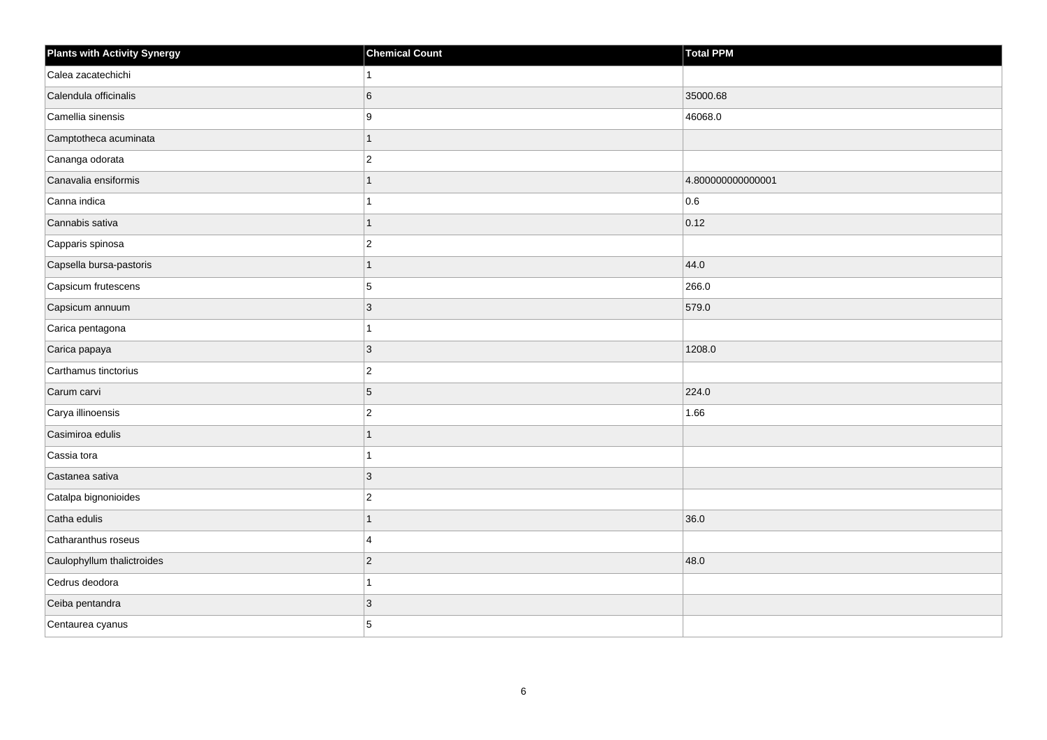| <b>Plants with Activity Synergy</b> | <b>Chemical Count</b> | <b>Total PPM</b>  |
|-------------------------------------|-----------------------|-------------------|
| Calea zacatechichi                  |                       |                   |
| Calendula officinalis               | 6                     | 35000.68          |
| Camellia sinensis                   | 9                     | 46068.0           |
| Camptotheca acuminata               | 1                     |                   |
| Cananga odorata                     | $\overline{2}$        |                   |
| Canavalia ensiformis                |                       | 4.800000000000001 |
| Canna indica                        |                       | 0.6               |
| Cannabis sativa                     |                       | 0.12              |
| Capparis spinosa                    | $\overline{c}$        |                   |
| Capsella bursa-pastoris             | 1                     | 44.0              |
| Capsicum frutescens                 | 5                     | 266.0             |
| Capsicum annuum                     | 3                     | 579.0             |
| Carica pentagona                    |                       |                   |
| Carica papaya                       | 3                     | 1208.0            |
| Carthamus tinctorius                | $\overline{c}$        |                   |
| Carum carvi                         | 5                     | 224.0             |
| Carya illinoensis                   | $\overline{c}$        | 1.66              |
| Casimiroa edulis                    |                       |                   |
| Cassia tora                         | 1                     |                   |
| Castanea sativa                     | 3                     |                   |
| Catalpa bignonioides                | $\overline{a}$        |                   |
| Catha edulis                        | $\overline{1}$        | 36.0              |
| Catharanthus roseus                 | 4                     |                   |
| Caulophyllum thalictroides          | $\overline{2}$        | 48.0              |
| Cedrus deodora                      | 1                     |                   |
| Ceiba pentandra                     | 3                     |                   |
| Centaurea cyanus                    | 5                     |                   |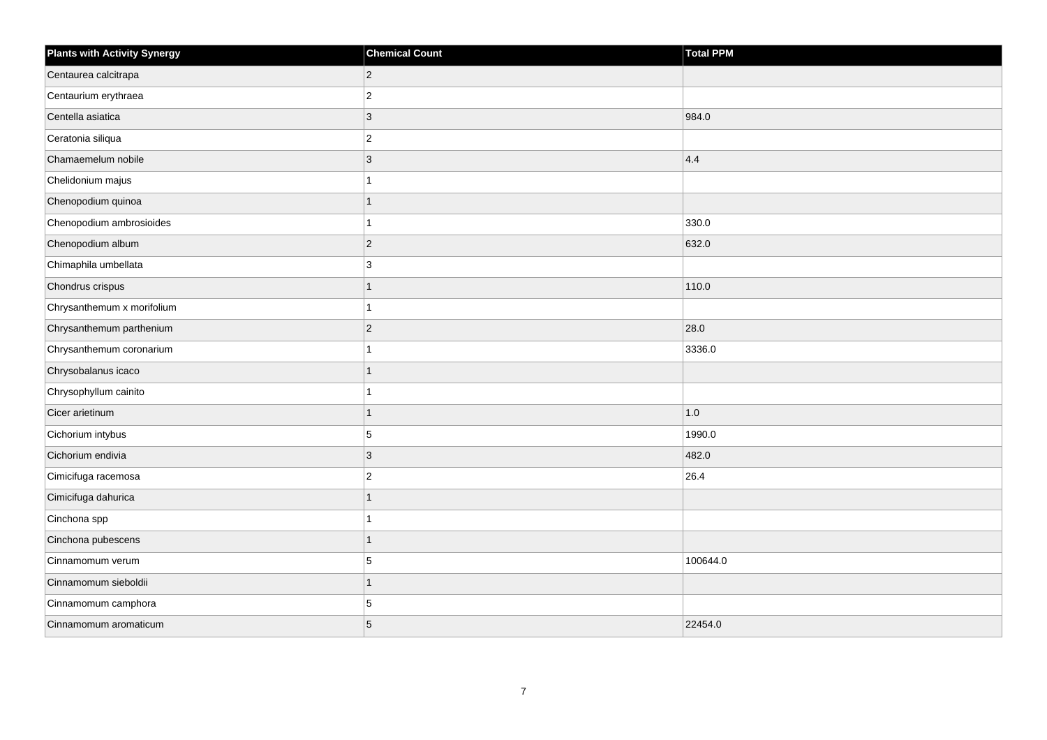| <b>Plants with Activity Synergy</b> | <b>Chemical Count</b> | <b>Total PPM</b> |
|-------------------------------------|-----------------------|------------------|
| Centaurea calcitrapa                | $\overline{2}$        |                  |
| Centaurium erythraea                | $\mathbf{2}$          |                  |
| Centella asiatica                   | $\overline{3}$        | 984.0            |
| Ceratonia siliqua                   | $\overline{2}$        |                  |
| Chamaemelum nobile                  | 3                     | 4.4              |
| Chelidonium majus                   | 1                     |                  |
| Chenopodium quinoa                  | $\mathbf{1}$          |                  |
| Chenopodium ambrosioides            | 1                     | 330.0            |
| Chenopodium album                   | $\overline{c}$        | 632.0            |
| Chimaphila umbellata                | 3                     |                  |
| Chondrus crispus                    | 1                     | 110.0            |
| Chrysanthemum x morifolium          | 1                     |                  |
| Chrysanthemum parthenium            | $\overline{c}$        | 28.0             |
| Chrysanthemum coronarium            | 1                     | 3336.0           |
| Chrysobalanus icaco                 | 1                     |                  |
| Chrysophyllum cainito               |                       |                  |
| Cicer arietinum                     | 1                     | 1.0              |
| Cichorium intybus                   | 5                     | 1990.0           |
| Cichorium endivia                   | $\overline{3}$        | 482.0            |
| Cimicifuga racemosa                 | $\overline{2}$        | 26.4             |
| Cimicifuga dahurica                 | 1                     |                  |
| Cinchona spp                        | 1                     |                  |
| Cinchona pubescens                  | 1                     |                  |
| Cinnamomum verum                    | 5                     | 100644.0         |
| Cinnamomum sieboldii                | $\mathbf{1}$          |                  |
| Cinnamomum camphora                 | 5                     |                  |
| Cinnamomum aromaticum               | 5                     | 22454.0          |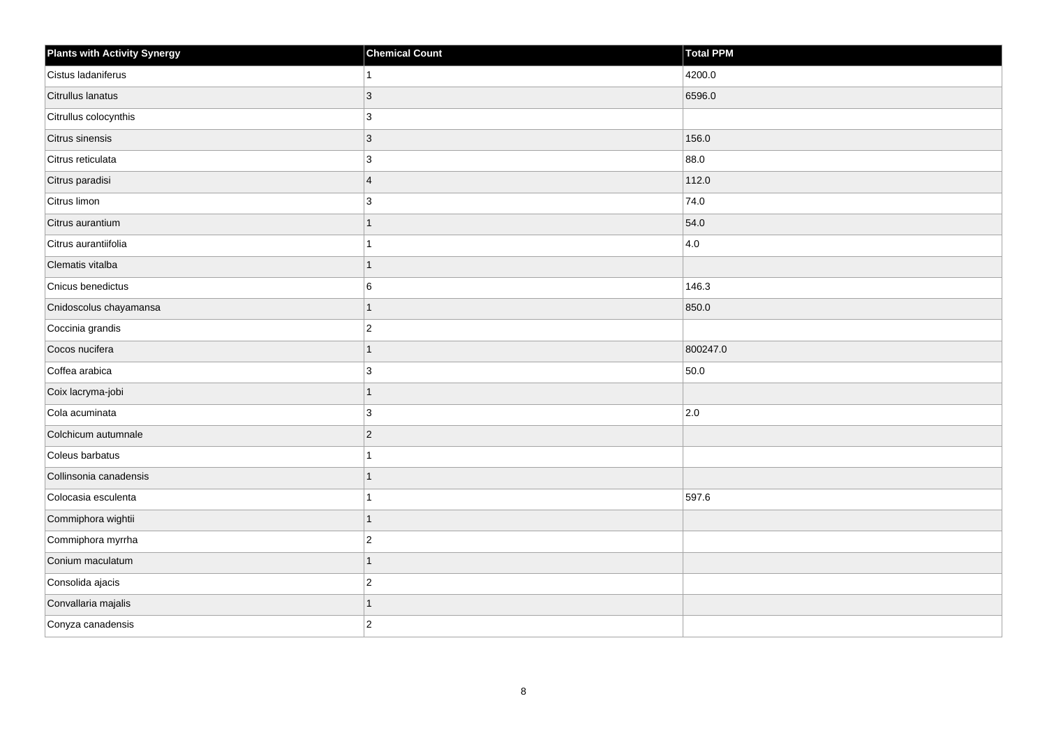| <b>Plants with Activity Synergy</b> | <b>Chemical Count</b>   | Total PPM |
|-------------------------------------|-------------------------|-----------|
| Cistus ladaniferus                  | 1                       | 4200.0    |
| Citrullus lanatus                   | 3                       | 6596.0    |
| Citrullus colocynthis               | 3                       |           |
| Citrus sinensis                     | $ 3\rangle$             | 156.0     |
| Citrus reticulata                   | 3                       | 88.0      |
| Citrus paradisi                     | $\overline{\mathbf{4}}$ | 112.0     |
| Citrus limon                        | 3                       | 74.0      |
| Citrus aurantium                    | 1                       | 54.0      |
| Citrus aurantiifolia                | 1                       | 4.0       |
| Clematis vitalba                    | $\mathbf{1}$            |           |
| Cnicus benedictus                   | 6                       | 146.3     |
| Cnidoscolus chayamansa              | $\overline{1}$          | 850.0     |
| Coccinia grandis                    | $\vert$ 2               |           |
| Cocos nucifera                      | 1                       | 800247.0  |
| Coffea arabica                      | 3                       | 50.0      |
| Coix lacryma-jobi                   | 1                       |           |
| Cola acuminata                      | 3                       | 2.0       |
| Colchicum autumnale                 | $ 2\rangle$             |           |
| Coleus barbatus                     | 1                       |           |
| Collinsonia canadensis              | 1                       |           |
| Colocasia esculenta                 |                         | 597.6     |
| Commiphora wightii                  | 1                       |           |
| Commiphora myrrha                   | $\overline{2}$          |           |
| Conium maculatum                    | 1                       |           |
| Consolida ajacis                    | $\vert$ 2               |           |
| Convallaria majalis                 | 1                       |           |
| Conyza canadensis                   | $\overline{2}$          |           |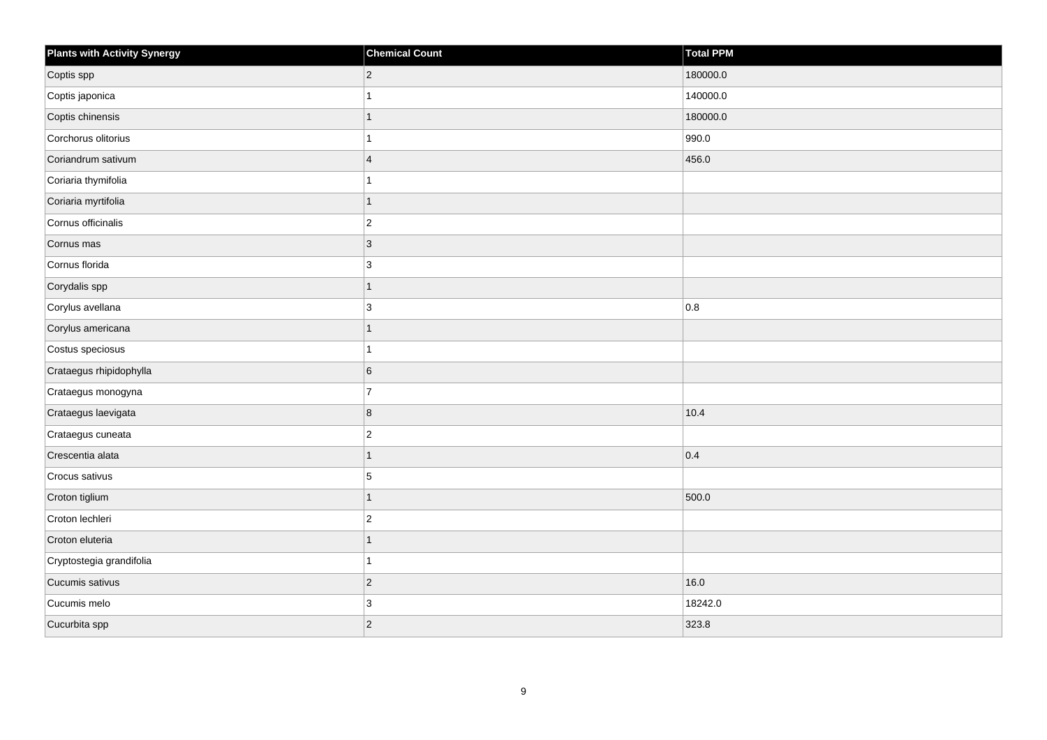| <b>Plants with Activity Synergy</b> | <b>Chemical Count</b> | Total PPM |
|-------------------------------------|-----------------------|-----------|
| Coptis spp                          | $\overline{2}$        | 180000.0  |
| Coptis japonica                     |                       | 140000.0  |
| Coptis chinensis                    | 1                     | 180000.0  |
| Corchorus olitorius                 |                       | 990.0     |
| Coriandrum sativum                  | $\overline{4}$        | 456.0     |
| Coriaria thymifolia                 |                       |           |
| Coriaria myrtifolia                 | 1                     |           |
| Cornus officinalis                  | $\overline{c}$        |           |
| Cornus mas                          | 3                     |           |
| Cornus florida                      | 3                     |           |
| Corydalis spp                       | 1                     |           |
| Corylus avellana                    | 3                     | 0.8       |
| Corylus americana                   | 1                     |           |
| Costus speciosus                    |                       |           |
| Crataegus rhipidophylla             | 6                     |           |
| Crataegus monogyna                  | $\overline{7}$        |           |
| Crataegus laevigata                 | 8                     | 10.4      |
| Crataegus cuneata                   | $\overline{c}$        |           |
| Crescentia alata                    | $\overline{1}$        | 0.4       |
| Crocus sativus                      | 5                     |           |
| Croton tiglium                      | 1                     | 500.0     |
| Croton lechleri                     | $\overline{2}$        |           |
| Croton eluteria                     |                       |           |
| Cryptostegia grandifolia            |                       |           |
| Cucumis sativus                     | $\overline{2}$        | 16.0      |
| Cucumis melo                        | 3                     | 18242.0   |
| Cucurbita spp                       | $\overline{2}$        | 323.8     |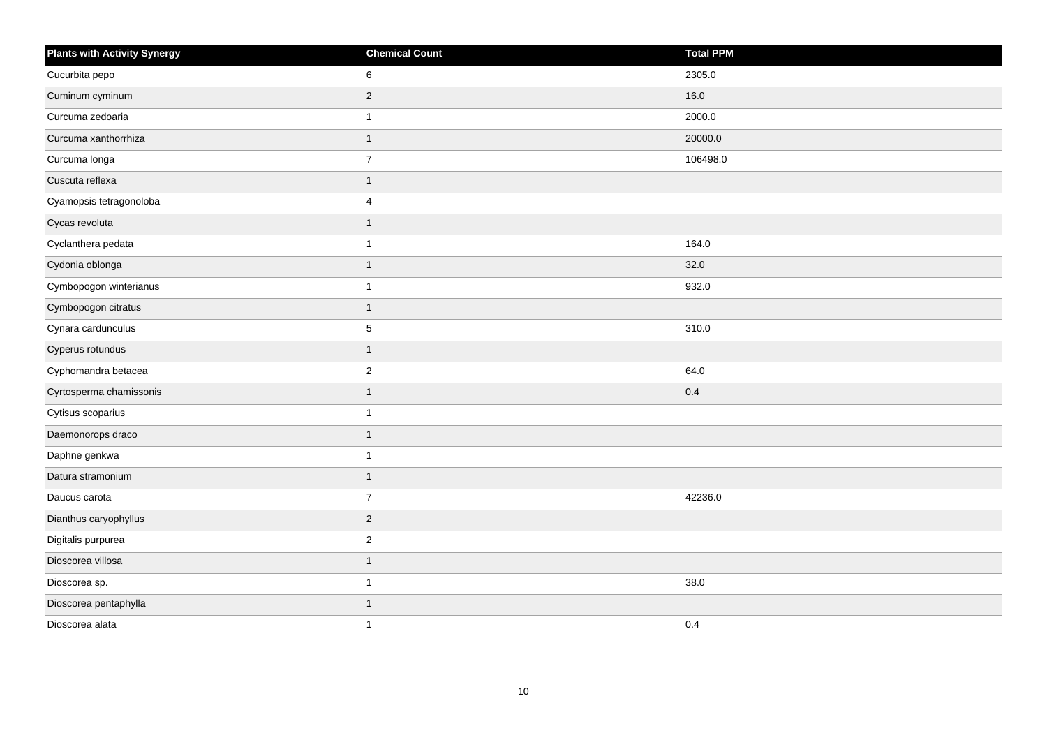| <b>Plants with Activity Synergy</b> | <b>Chemical Count</b> | <b>Total PPM</b> |
|-------------------------------------|-----------------------|------------------|
| Cucurbita pepo                      | 6                     | 2305.0           |
| Cuminum cyminum                     | $\overline{2}$        | 16.0             |
| Curcuma zedoaria                    | 1                     | 2000.0           |
| Curcuma xanthorrhiza                | $\mathbf{1}$          | 20000.0          |
| Curcuma longa                       | $\overline{7}$        | 106498.0         |
| Cuscuta reflexa                     | 1                     |                  |
| Cyamopsis tetragonoloba             | 4                     |                  |
| Cycas revoluta                      | 1                     |                  |
| Cyclanthera pedata                  | 1                     | 164.0            |
| Cydonia oblonga                     | $\mathbf{1}$          | 32.0             |
| Cymbopogon winterianus              | 1                     | 932.0            |
| Cymbopogon citratus                 | $\overline{1}$        |                  |
| Cynara cardunculus                  | 5                     | 310.0            |
| Cyperus rotundus                    | $\overline{1}$        |                  |
| Cyphomandra betacea                 | $\overline{c}$        | 64.0             |
| Cyrtosperma chamissonis             | $\overline{1}$        | 0.4              |
| Cytisus scoparius                   |                       |                  |
| Daemonorops draco                   | $\overline{1}$        |                  |
| Daphne genkwa                       | 1                     |                  |
| Datura stramonium                   | $\overline{1}$        |                  |
| Daucus carota                       | $\overline{7}$        | 42236.0          |
| Dianthus caryophyllus               | $\overline{c}$        |                  |
| Digitalis purpurea                  | $\overline{2}$        |                  |
| Dioscorea villosa                   | 1                     |                  |
| Dioscorea sp.                       | 1                     | 38.0             |
| Dioscorea pentaphylla               | 1                     |                  |
| Dioscorea alata                     | 1                     | 0.4              |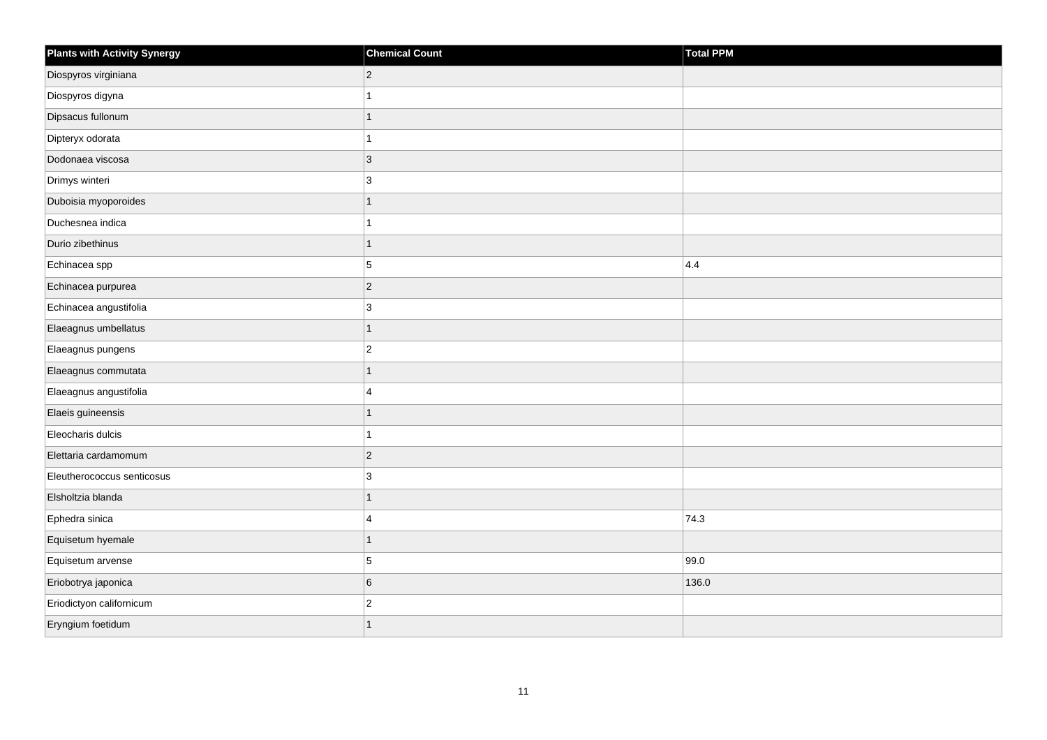| <b>Plants with Activity Synergy</b> | <b>Chemical Count</b> | Total PPM |
|-------------------------------------|-----------------------|-----------|
| Diospyros virginiana                | $ 2\rangle$           |           |
| Diospyros digyna                    | $\overline{1}$        |           |
| Dipsacus fullonum                   | $\mathbf{1}$          |           |
| Dipteryx odorata                    | $\mathbf{1}$          |           |
| Dodonaea viscosa                    | $\mathbf{3}$          |           |
| Drimys winteri                      | 3                     |           |
| Duboisia myoporoides                | $\mathbf{1}$          |           |
| Duchesnea indica                    | $\mathbf{1}$          |           |
| Durio zibethinus                    | $\mathbf{1}$          |           |
| Echinacea spp                       | 5                     | 4.4       |
| Echinacea purpurea                  | $\mathbf 2$           |           |
| Echinacea angustifolia              | 3                     |           |
| Elaeagnus umbellatus                | $\mathbf{1}$          |           |
| Elaeagnus pungens                   | $\mathbf 2$           |           |
| Elaeagnus commutata                 | $\mathbf{1}$          |           |
| Elaeagnus angustifolia              | $\overline{4}$        |           |
| Elaeis guineensis                   | $\mathbf{1}$          |           |
| Eleocharis dulcis                   | $\mathbf{1}$          |           |
| Elettaria cardamomum                | $\vert$ 2             |           |
| Eleutherococcus senticosus          | 3                     |           |
| Elsholtzia blanda                   | $\mathbf{1}$          |           |
| Ephedra sinica                      | $\overline{4}$        | 74.3      |
| Equisetum hyemale                   | $\mathbf{1}$          |           |
| Equisetum arvense                   | 5                     | 99.0      |
| Eriobotrya japonica                 | 6                     | 136.0     |
| Eriodictyon californicum            | $\mathbf 2$           |           |
| Eryngium foetidum                   | $\overline{1}$        |           |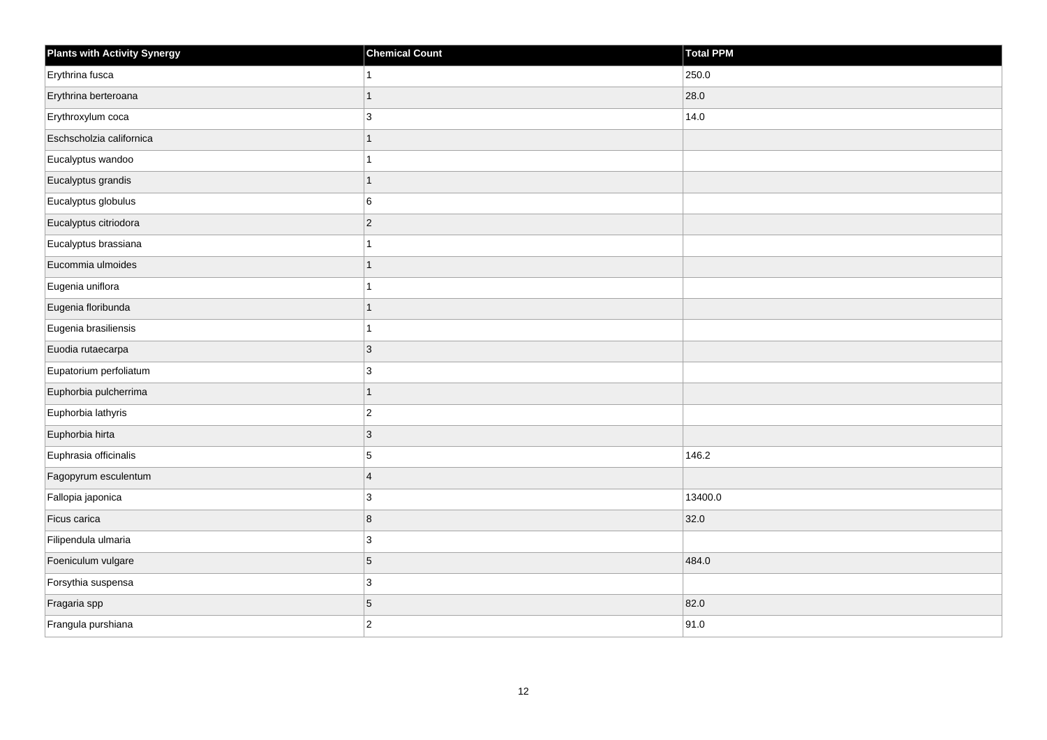| <b>Plants with Activity Synergy</b> | <b>Chemical Count</b> | <b>Total PPM</b> |
|-------------------------------------|-----------------------|------------------|
| Erythrina fusca                     |                       | 250.0            |
| Erythrina berteroana                | 1                     | 28.0             |
| Erythroxylum coca                   | 3                     | 14.0             |
| Eschscholzia californica            | 1                     |                  |
| Eucalyptus wandoo                   |                       |                  |
| Eucalyptus grandis                  | 1                     |                  |
| Eucalyptus globulus                 | 6                     |                  |
| Eucalyptus citriodora               | $\overline{2}$        |                  |
| Eucalyptus brassiana                |                       |                  |
| Eucommia ulmoides                   | 1                     |                  |
| Eugenia uniflora                    |                       |                  |
| Eugenia floribunda                  |                       |                  |
| Eugenia brasiliensis                | 1                     |                  |
| Euodia rutaecarpa                   | 3                     |                  |
| Eupatorium perfoliatum              | 3                     |                  |
| Euphorbia pulcherrima               | $\overline{1}$        |                  |
| Euphorbia lathyris                  | $\overline{c}$        |                  |
| Euphorbia hirta                     | $\overline{3}$        |                  |
| Euphrasia officinalis               | 5                     | 146.2            |
| Fagopyrum esculentum                | $\overline{4}$        |                  |
| Fallopia japonica                   | 3                     | 13400.0          |
| Ficus carica                        | 8                     | 32.0             |
| Filipendula ulmaria                 | 3                     |                  |
| Foeniculum vulgare                  | 5                     | 484.0            |
| Forsythia suspensa                  | 3                     |                  |
| Fragaria spp                        | 5                     | 82.0             |
| Frangula purshiana                  | $\overline{2}$        | 91.0             |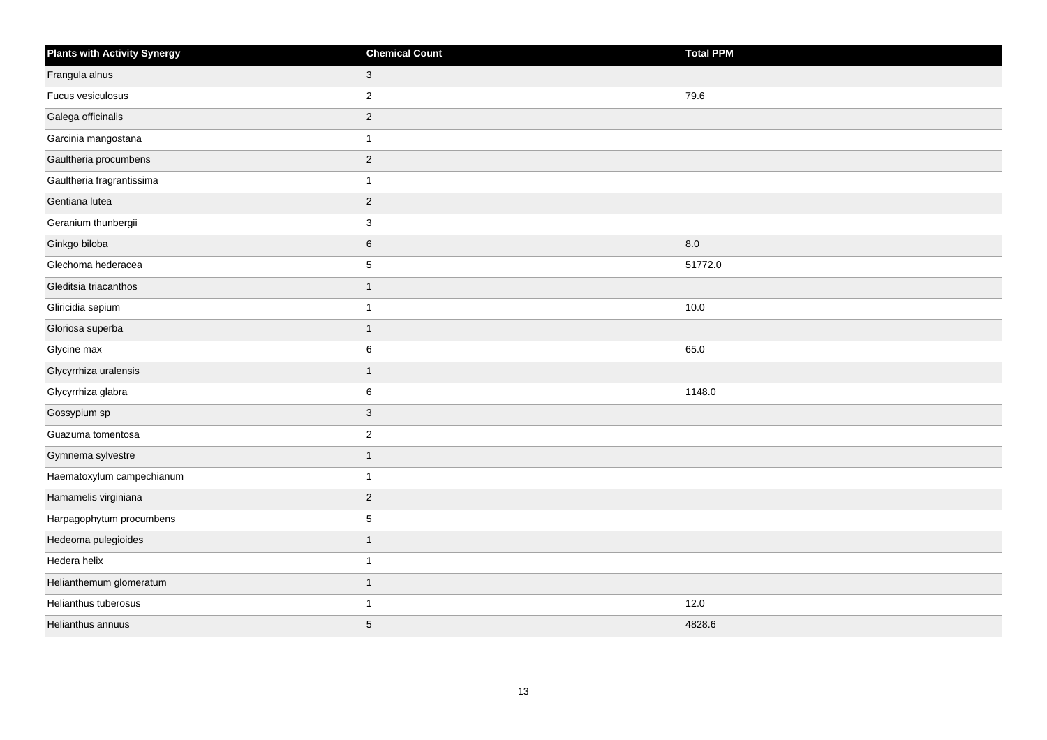| <b>Plants with Activity Synergy</b> | <b>Chemical Count</b> | Total PPM |
|-------------------------------------|-----------------------|-----------|
| Frangula alnus                      | 3                     |           |
| Fucus vesiculosus                   | $\overline{2}$        | 79.6      |
| Galega officinalis                  | $\vert$ 2             |           |
| Garcinia mangostana                 | 1                     |           |
| Gaultheria procumbens               | $ 2\rangle$           |           |
| Gaultheria fragrantissima           | 1                     |           |
| Gentiana lutea                      | $\vert$ 2             |           |
| Geranium thunbergii                 | 3                     |           |
| Ginkgo biloba                       | $6\phantom{.}$        | 8.0       |
| Glechoma hederacea                  | 5                     | 51772.0   |
| Gleditsia triacanthos               | 1                     |           |
| Gliricidia sepium                   | 1                     | 10.0      |
| Gloriosa superba                    | 1                     |           |
| Glycine max                         | 6                     | 65.0      |
| Glycyrrhiza uralensis               | 1                     |           |
| Glycyrrhiza glabra                  | 6                     | 1148.0    |
| Gossypium sp                        | 3                     |           |
| Guazuma tomentosa                   | $\overline{2}$        |           |
| Gymnema sylvestre                   | 1                     |           |
| Haematoxylum campechianum           | 1                     |           |
| Hamamelis virginiana                | $ 2\rangle$           |           |
| Harpagophytum procumbens            | 5                     |           |
| Hedeoma pulegioides                 | 1                     |           |
| Hedera helix                        | 1                     |           |
| Helianthemum glomeratum             | $\mathbf{1}$          |           |
| Helianthus tuberosus                | 1                     | 12.0      |
| Helianthus annuus                   | 5                     | 4828.6    |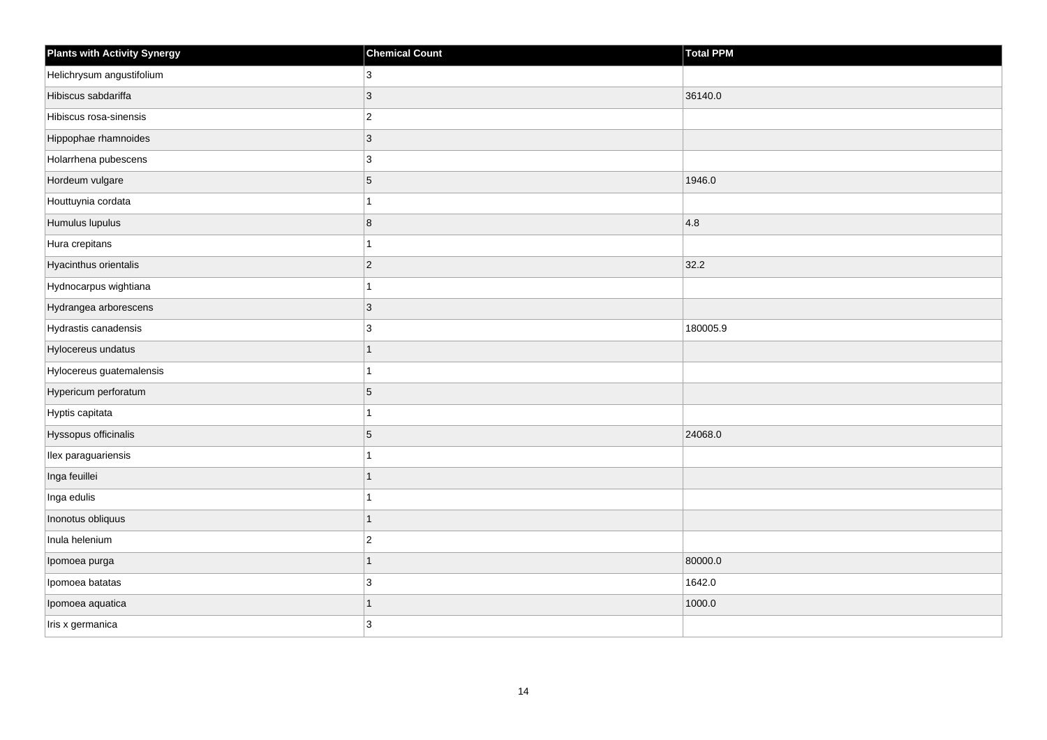| <b>Plants with Activity Synergy</b> | <b>Chemical Count</b> | <b>Total PPM</b> |
|-------------------------------------|-----------------------|------------------|
| Helichrysum angustifolium           | 3                     |                  |
| Hibiscus sabdariffa                 | 3                     | 36140.0          |
| Hibiscus rosa-sinensis              | $\overline{c}$        |                  |
| Hippophae rhamnoides                | 3                     |                  |
| Holarrhena pubescens                | 3                     |                  |
| Hordeum vulgare                     | 5                     | 1946.0           |
| Houttuynia cordata                  |                       |                  |
| Humulus lupulus                     | 8                     | 4.8              |
| Hura crepitans                      |                       |                  |
| Hyacinthus orientalis               | $\overline{2}$        | $32.2$           |
| Hydnocarpus wightiana               |                       |                  |
| Hydrangea arborescens               | 3                     |                  |
| Hydrastis canadensis                | 3                     | 180005.9         |
| Hylocereus undatus                  |                       |                  |
| Hylocereus guatemalensis            |                       |                  |
| Hypericum perforatum                | 5                     |                  |
| Hyptis capitata                     |                       |                  |
| Hyssopus officinalis                | 5                     | 24068.0          |
| Ilex paraguariensis                 | 1                     |                  |
| Inga feuillei                       |                       |                  |
| Inga edulis                         |                       |                  |
| Inonotus obliquus                   | 1                     |                  |
| Inula helenium                      | $\overline{c}$        |                  |
| Ipomoea purga                       | 1                     | 80000.0          |
| Ipomoea batatas                     | 3                     | 1642.0           |
| Ipomoea aquatica                    |                       | 1000.0           |
| Iris x germanica                    | 3                     |                  |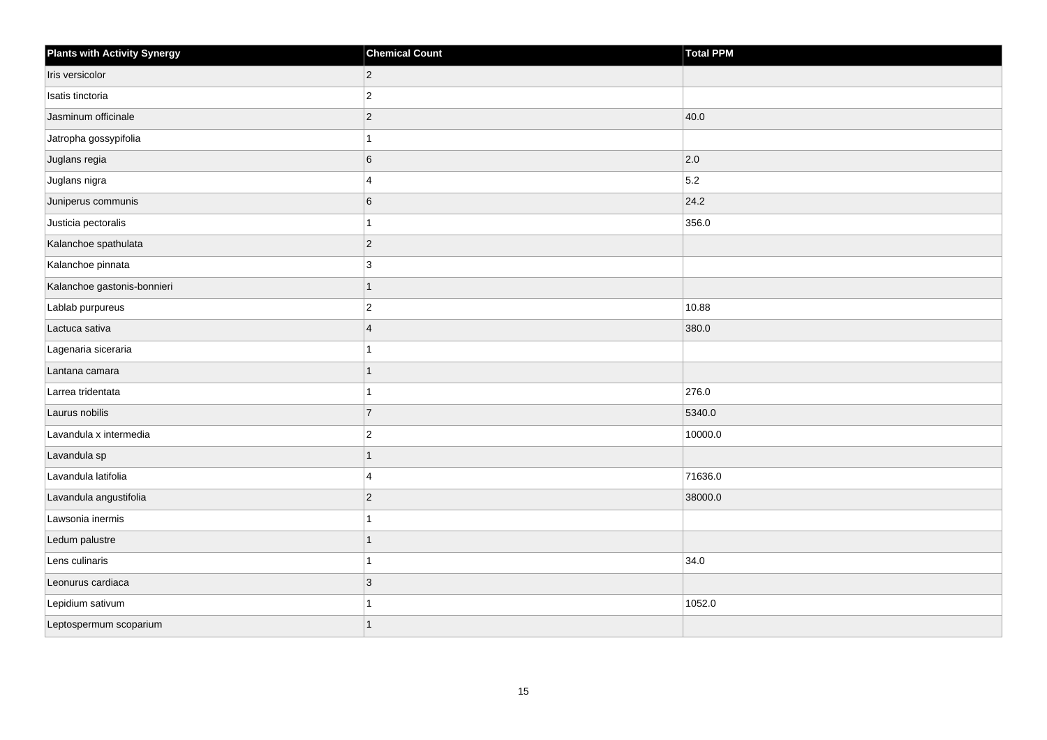| <b>Plants with Activity Synergy</b> | <b>Chemical Count</b> | <b>Total PPM</b> |
|-------------------------------------|-----------------------|------------------|
| Iris versicolor                     | $\vert$ 2             |                  |
| Isatis tinctoria                    | $\overline{2}$        |                  |
| Jasminum officinale                 | $ 2\rangle$           | 40.0             |
| Jatropha gossypifolia               | 1                     |                  |
| Juglans regia                       | 6                     | $ 2.0\rangle$    |
| Juglans nigra                       | $\overline{4}$        | 5.2              |
| Juniperus communis                  | 6                     | 24.2             |
| Justicia pectoralis                 |                       | 356.0            |
| Kalanchoe spathulata                | $\vert$ 2             |                  |
| Kalanchoe pinnata                   | 3                     |                  |
| Kalanchoe gastonis-bonnieri         | 1                     |                  |
| Lablab purpureus                    | $\overline{2}$        | 10.88            |
| Lactuca sativa                      | $\vert 4$             | 380.0            |
| Lagenaria siceraria                 |                       |                  |
| Lantana camara                      |                       |                  |
| Larrea tridentata                   | 1                     | 276.0            |
| Laurus nobilis                      | $\overline{7}$        | 5340.0           |
| Lavandula x intermedia              | $\overline{2}$        | 10000.0          |
| Lavandula sp                        | 1                     |                  |
| Lavandula latifolia                 | $\overline{4}$        | 71636.0          |
| Lavandula angustifolia              | $ 2\rangle$           | 38000.0          |
| Lawsonia inermis                    | 1                     |                  |
| Ledum palustre                      |                       |                  |
| Lens culinaris                      |                       | 34.0             |
| Leonurus cardiaca                   | 3                     |                  |
| Lepidium sativum                    |                       | 1052.0           |
| Leptospermum scoparium              |                       |                  |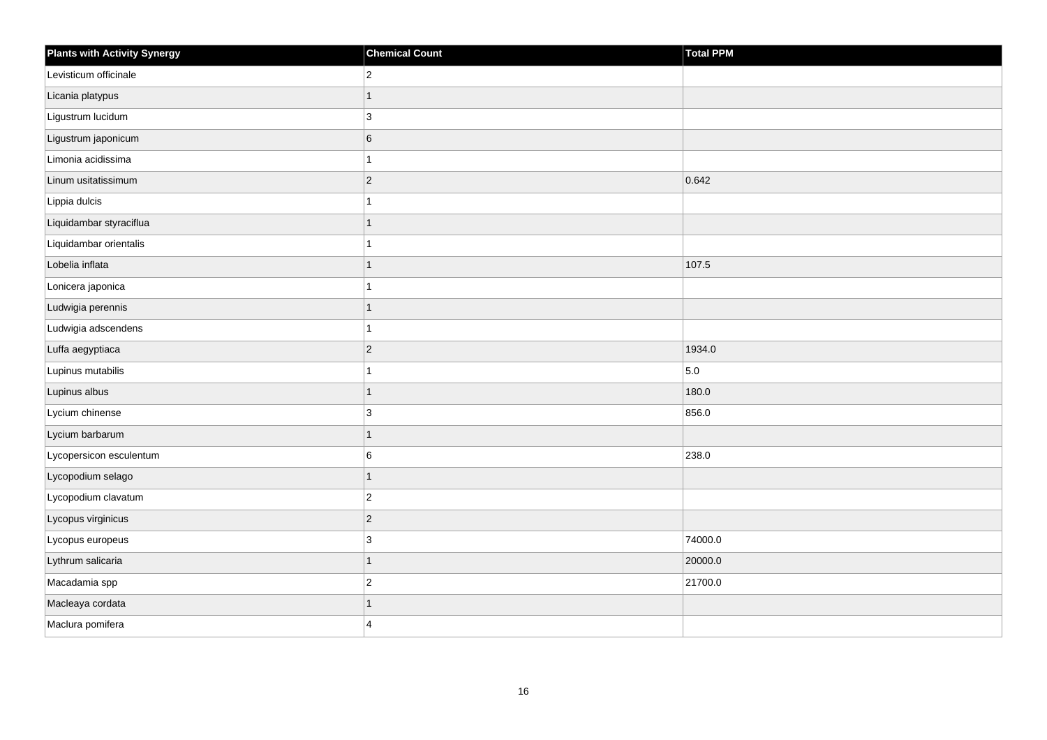| <b>Plants with Activity Synergy</b> | <b>Chemical Count</b> | Total PPM |
|-------------------------------------|-----------------------|-----------|
| Levisticum officinale               | $\overline{2}$        |           |
| Licania platypus                    | 1                     |           |
| Ligustrum lucidum                   | 3                     |           |
| Ligustrum japonicum                 | $6\phantom{a}$        |           |
| Limonia acidissima                  |                       |           |
| Linum usitatissimum                 | $\overline{2}$        | 0.642     |
| Lippia dulcis                       |                       |           |
| Liquidambar styraciflua             | 1                     |           |
| Liquidambar orientalis              |                       |           |
| Lobelia inflata                     | 1                     | 107.5     |
| Lonicera japonica                   |                       |           |
| Ludwigia perennis                   | 1                     |           |
| Ludwigia adscendens                 | 1                     |           |
| Luffa aegyptiaca                    | $\overline{2}$        | 1934.0    |
| Lupinus mutabilis                   |                       | 5.0       |
| Lupinus albus                       | $\overline{1}$        | 180.0     |
| Lycium chinense                     | 3                     | 856.0     |
| Lycium barbarum                     | 1                     |           |
| Lycopersicon esculentum             | 6                     | 238.0     |
| Lycopodium selago                   | 1                     |           |
| Lycopodium clavatum                 | $\overline{2}$        |           |
| Lycopus virginicus                  | $\overline{c}$        |           |
| Lycopus europeus                    | 3                     | 74000.0   |
| Lythrum salicaria                   | 1                     | 20000.0   |
| Macadamia spp                       | $\overline{c}$        | 21700.0   |
| Macleaya cordata                    | 1                     |           |
| Maclura pomifera                    | $\Delta$              |           |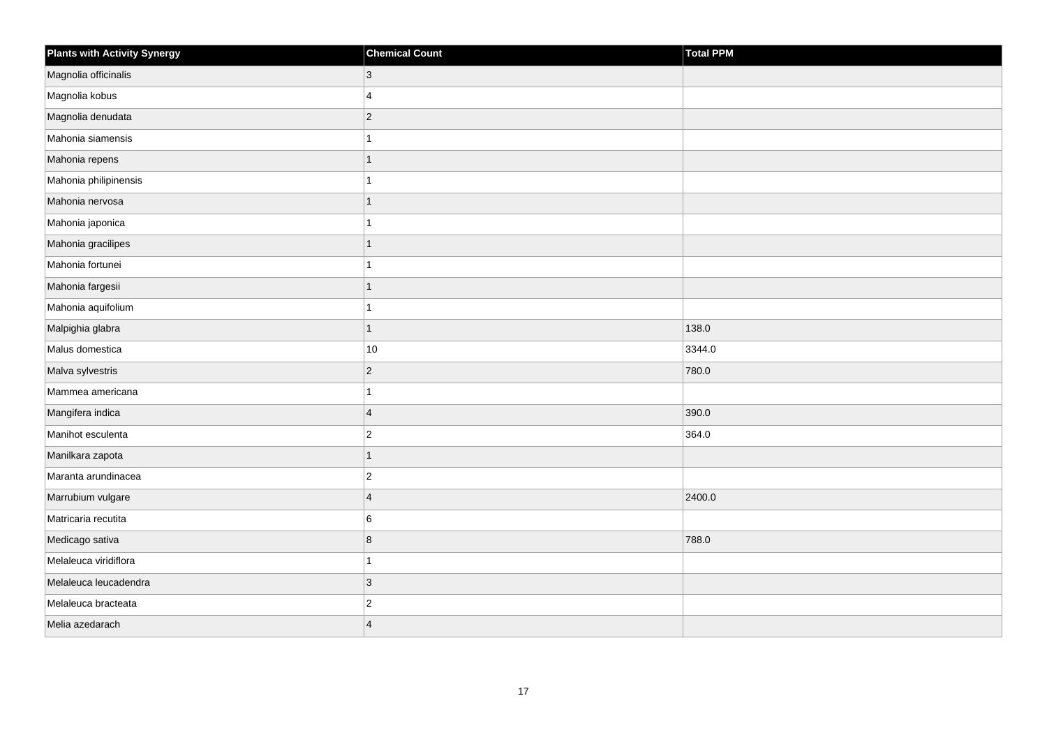| <b>Plants with Activity Synergy</b> | <b>Chemical Count</b> | Total PPM |
|-------------------------------------|-----------------------|-----------|
| Magnolia officinalis                | 3                     |           |
| Magnolia kobus                      | 4                     |           |
| Magnolia denudata                   | $\overline{c}$        |           |
| Mahonia siamensis                   |                       |           |
| Mahonia repens                      | 1                     |           |
| Mahonia philipinensis               |                       |           |
| Mahonia nervosa                     | 1                     |           |
| Mahonia japonica                    |                       |           |
| Mahonia gracilipes                  | 1                     |           |
| Mahonia fortunei                    |                       |           |
| Mahonia fargesii                    | 1                     |           |
| Mahonia aquifolium                  |                       |           |
| Malpighia glabra                    | 1                     | 138.0     |
| Malus domestica                     | 10                    | 3344.0    |
| Malva sylvestris                    | $\overline{c}$        | 780.0     |
| Mammea americana                    | 1                     |           |
| Mangifera indica                    | $\overline{4}$        | 390.0     |
| Manihot esculenta                   | $\overline{c}$        | 364.0     |
| Manilkara zapota                    | $\overline{1}$        |           |
| Maranta arundinacea                 | $\overline{c}$        |           |
| Marrubium vulgare                   | $\overline{4}$        | 2400.0    |
| Matricaria recutita                 | 6                     |           |
| Medicago sativa                     | 8                     | 788.0     |
| Melaleuca viridiflora               |                       |           |
| Melaleuca leucadendra               | $\overline{3}$        |           |
| Melaleuca bracteata                 | $\overline{c}$        |           |
| Melia azedarach                     | $\overline{A}$        |           |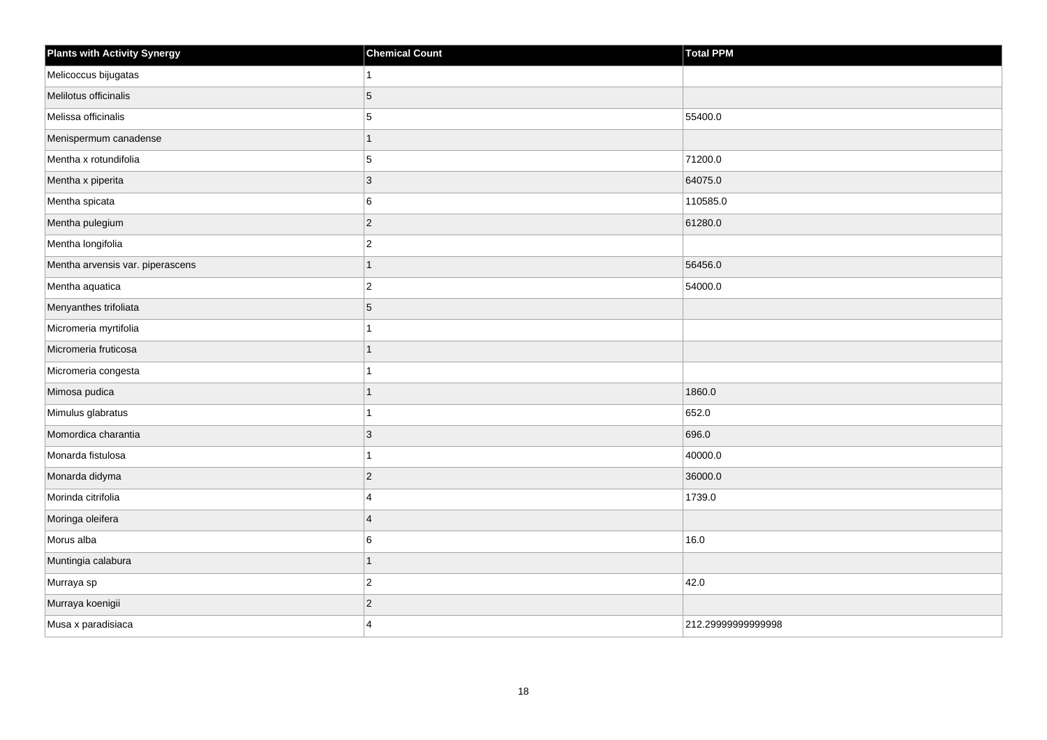| <b>Plants with Activity Synergy</b> | <b>Chemical Count</b> | <b>Total PPM</b>   |
|-------------------------------------|-----------------------|--------------------|
| Melicoccus bijugatas                | $\mathbf{1}$          |                    |
| Melilotus officinalis               | 5                     |                    |
| Melissa officinalis                 | 5                     | 55400.0            |
| Menispermum canadense               | $\mathbf{1}$          |                    |
| Mentha x rotundifolia               | 5                     | 71200.0            |
| Mentha x piperita                   | $\mathbf{3}$          | 64075.0            |
| Mentha spicata                      | 6                     | 110585.0           |
| Mentha pulegium                     | $\overline{2}$        | 61280.0            |
| Mentha longifolia                   | $\overline{c}$        |                    |
| Mentha arvensis var. piperascens    | $\mathbf{1}$          | 56456.0            |
| Mentha aquatica                     | $\overline{2}$        | 54000.0            |
| Menyanthes trifoliata               | $\sqrt{5}$            |                    |
| Micromeria myrtifolia               | $\mathbf{1}$          |                    |
| Micromeria fruticosa                | $\mathbf{1}$          |                    |
| Micromeria congesta                 | $\mathbf{1}$          |                    |
| Mimosa pudica                       | $\mathbf{1}$          | 1860.0             |
| Mimulus glabratus                   | $\overline{1}$        | 652.0              |
| Momordica charantia                 | $\mathbf{3}$          | 696.0              |
| Monarda fistulosa                   | $\mathbf{1}$          | 40000.0            |
| Monarda didyma                      | $\mathbf 2$           | 36000.0            |
| Morinda citrifolia                  | 4                     | 1739.0             |
| Moringa oleifera                    | $\overline{4}$        |                    |
| Morus alba                          | 6                     | 16.0               |
| Muntingia calabura                  | $\overline{1}$        |                    |
| Murraya sp                          | $\overline{2}$        | 42.0               |
| Murraya koenigii                    | $\sqrt{2}$            |                    |
| Musa x paradisiaca                  | $\overline{4}$        | 212.29999999999998 |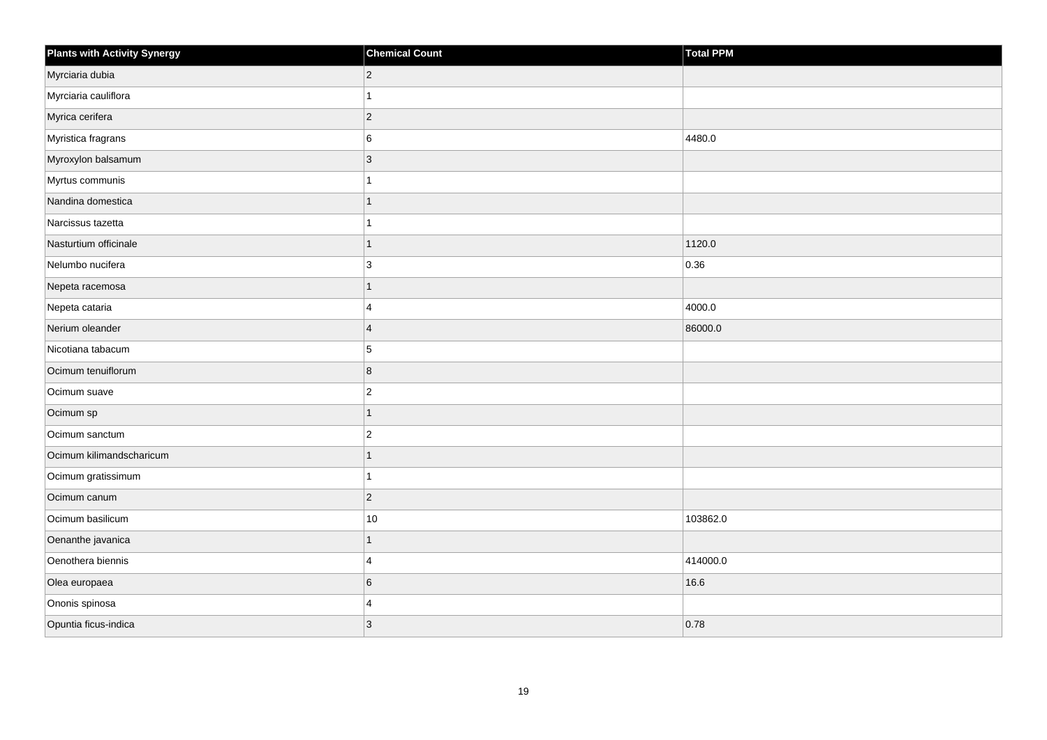| <b>Plants with Activity Synergy</b> | <b>Chemical Count</b> | <b>Total PPM</b> |
|-------------------------------------|-----------------------|------------------|
| Myrciaria dubia                     | $\overline{2}$        |                  |
| Myrciaria cauliflora                | 1                     |                  |
| Myrica cerifera                     | $\overline{c}$        |                  |
| Myristica fragrans                  | 6                     | 4480.0           |
| Myroxylon balsamum                  | 3                     |                  |
| Myrtus communis                     | 1                     |                  |
| Nandina domestica                   | $\mathbf{1}$          |                  |
| Narcissus tazetta                   | 1                     |                  |
| Nasturtium officinale               | 1                     | 1120.0           |
| Nelumbo nucifera                    | 3                     | 0.36             |
| Nepeta racemosa                     | 1                     |                  |
| Nepeta cataria                      | $\boldsymbol{\Delta}$ | 4000.0           |
| Nerium oleander                     | $\overline{4}$        | 86000.0          |
| Nicotiana tabacum                   | 5                     |                  |
| Ocimum tenuiflorum                  | 8                     |                  |
| Ocimum suave                        | $\overline{2}$        |                  |
| Ocimum sp                           | 1                     |                  |
| Ocimum sanctum                      | $\overline{c}$        |                  |
| Ocimum kilimandscharicum            | $\mathbf{1}$          |                  |
| Ocimum gratissimum                  | 1                     |                  |
| Ocimum canum                        | $\overline{c}$        |                  |
| Ocimum basilicum                    | $10$                  | 103862.0         |
| Oenanthe javanica                   | 1                     |                  |
| Oenothera biennis                   | 4                     | 414000.0         |
| Olea europaea                       | 6                     | 16.6             |
| Ononis spinosa                      | $\overline{4}$        |                  |
| Opuntia ficus-indica                | 3                     | 0.78             |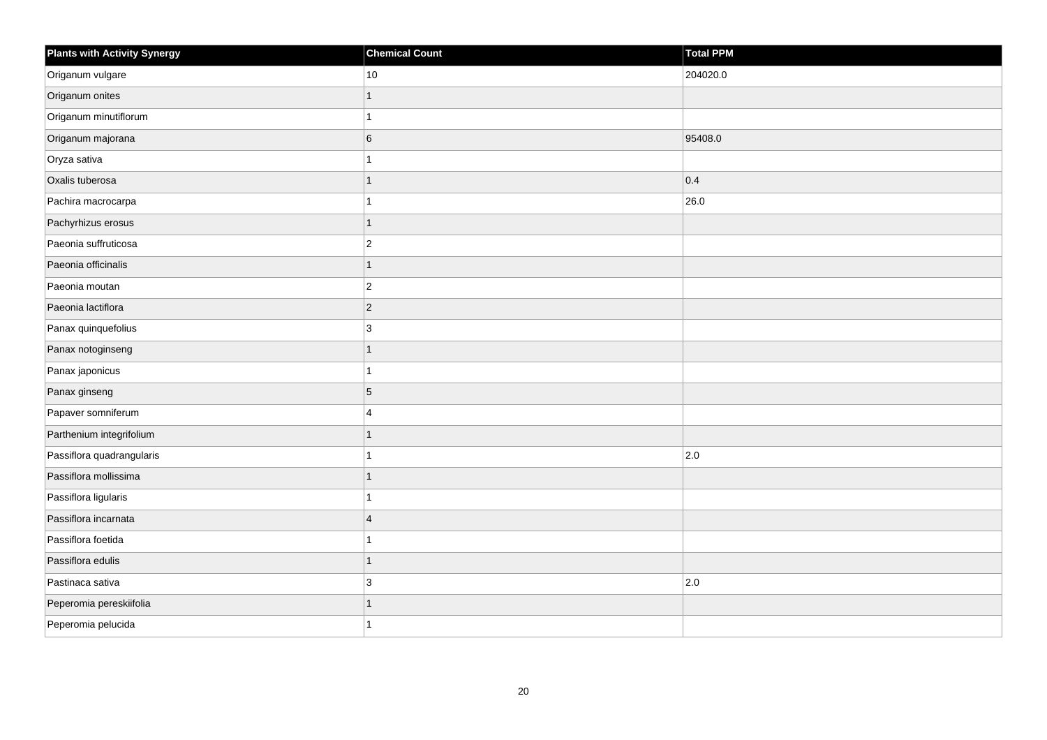| <b>Plants with Activity Synergy</b> | <b>Chemical Count</b>   | Total PPM |
|-------------------------------------|-------------------------|-----------|
| Origanum vulgare                    | $10$                    | 204020.0  |
| Origanum onites                     |                         |           |
| Origanum minutiflorum               |                         |           |
| Origanum majorana                   | 6                       | 95408.0   |
| Oryza sativa                        |                         |           |
| Oxalis tuberosa                     |                         | 0.4       |
| Pachira macrocarpa                  |                         | 26.0      |
| Pachyrhizus erosus                  | 1                       |           |
| Paeonia suffruticosa                | $\overline{c}$          |           |
| Paeonia officinalis                 | $\overline{1}$          |           |
| Paeonia moutan                      | $\overline{2}$          |           |
| Paeonia lactiflora                  | $\vert$ 2               |           |
| Panax quinquefolius                 | 3                       |           |
| Panax notoginseng                   | 1                       |           |
| Panax japonicus                     |                         |           |
| Panax ginseng                       | 5                       |           |
| Papaver somniferum                  | $\boldsymbol{\Delta}$   |           |
| Parthenium integrifolium            |                         |           |
| Passiflora quadrangularis           |                         | 2.0       |
| Passiflora mollissima               |                         |           |
| Passiflora ligularis                |                         |           |
| Passiflora incarnata                | $\overline{\mathbf{A}}$ |           |
| Passiflora foetida                  |                         |           |
| Passiflora edulis                   | 1                       |           |
| Pastinaca sativa                    | 3                       | 2.0       |
| Peperomia pereskiifolia             |                         |           |
| Peperomia pelucida                  |                         |           |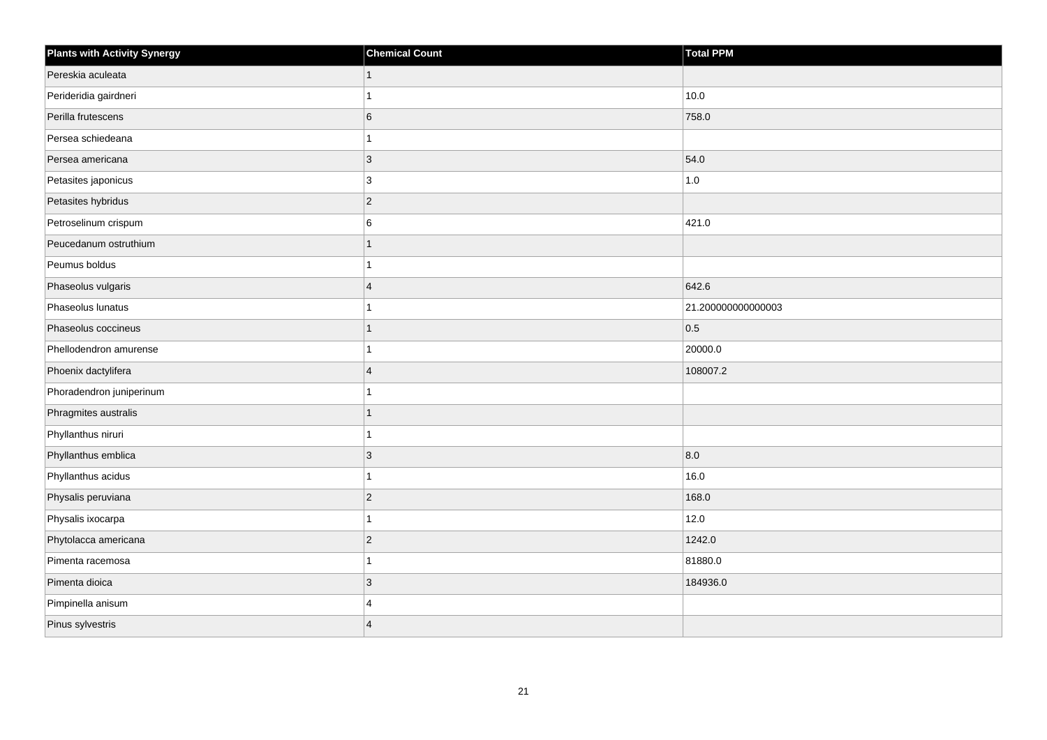| <b>Plants with Activity Synergy</b> | <b>Chemical Count</b> | Total PPM         |
|-------------------------------------|-----------------------|-------------------|
| Pereskia aculeata                   | 1                     |                   |
| Perideridia gairdneri               |                       | 10.0              |
| Perilla frutescens                  | 6                     | 758.0             |
| Persea schiedeana                   |                       |                   |
| Persea americana                    | 3                     | 54.0              |
| Petasites japonicus                 | 3                     | 1.0               |
| Petasites hybridus                  | $\overline{2}$        |                   |
| Petroselinum crispum                | 6                     | 421.0             |
| Peucedanum ostruthium               |                       |                   |
| Peumus boldus                       |                       |                   |
| Phaseolus vulgaris                  | $\overline{4}$        | 642.6             |
| Phaseolus lunatus                   |                       | 21.20000000000003 |
| Phaseolus coccineus                 | 1                     | 0.5               |
| Phellodendron amurense              |                       | 20000.0           |
| Phoenix dactylifera                 | 4                     | 108007.2          |
| Phoradendron juniperinum            |                       |                   |
| Phragmites australis                | 1                     |                   |
| Phyllanthus niruri                  |                       |                   |
| Phyllanthus emblica                 | 3                     | 8.0               |
| Phyllanthus acidus                  |                       | 16.0              |
| Physalis peruviana                  | $\overline{2}$        | 168.0             |
| Physalis ixocarpa                   | 1                     | 12.0              |
| Phytolacca americana                | $\overline{a}$        | 1242.0            |
| Pimenta racemosa                    |                       | 81880.0           |
| Pimenta dioica                      | $\overline{3}$        | 184936.0          |
| Pimpinella anisum                   | 4                     |                   |
| Pinus sylvestris                    | $\overline{A}$        |                   |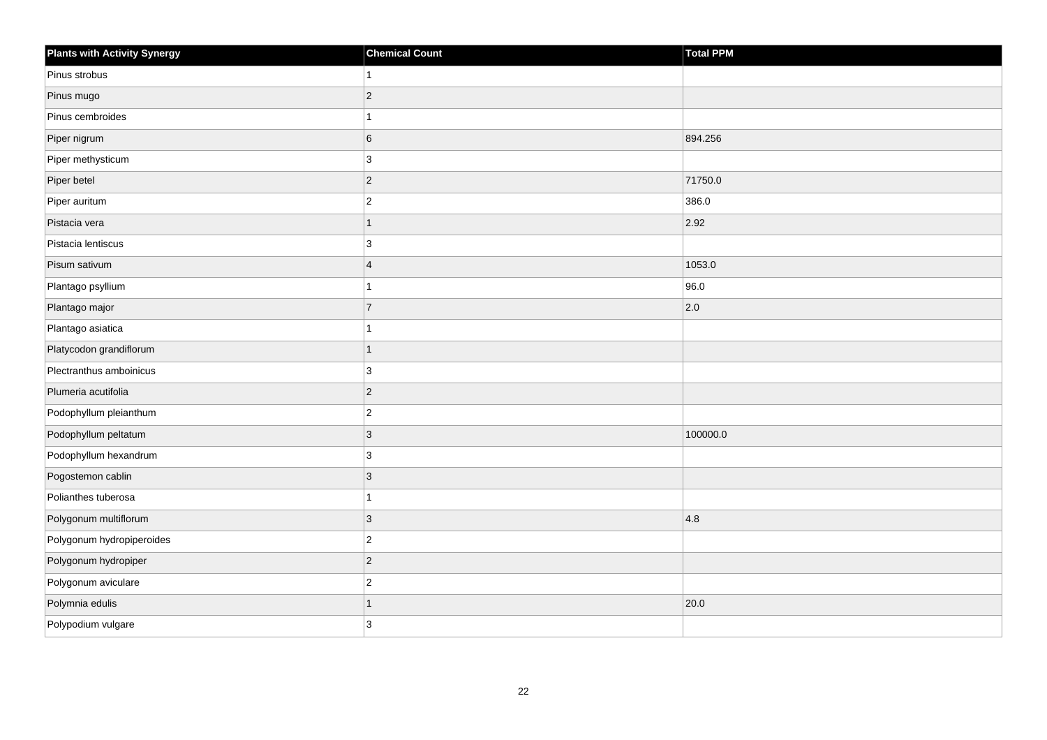| <b>Plants with Activity Synergy</b> | <b>Chemical Count</b> | <b>Total PPM</b> |
|-------------------------------------|-----------------------|------------------|
| Pinus strobus                       |                       |                  |
| Pinus mugo                          | $\overline{2}$        |                  |
| Pinus cembroides                    |                       |                  |
| Piper nigrum                        | 6                     | 894.256          |
| Piper methysticum                   | 3                     |                  |
| Piper betel                         | $\overline{c}$        | 71750.0          |
| Piper auritum                       | $\overline{2}$        | 386.0            |
| Pistacia vera                       | 1                     | 2.92             |
| Pistacia lentiscus                  | 3                     |                  |
| Pisum sativum                       | $\overline{4}$        | 1053.0           |
| Plantago psyllium                   |                       | 96.0             |
| Plantago major                      | $\overline{7}$        | 2.0              |
| Plantago asiatica                   | 1                     |                  |
| Platycodon grandiflorum             | 1                     |                  |
| Plectranthus amboinicus             | 3                     |                  |
| Plumeria acutifolia                 | $\overline{c}$        |                  |
| Podophyllum pleianthum              | $\overline{2}$        |                  |
| Podophyllum peltatum                | 3                     | 100000.0         |
| Podophyllum hexandrum               | $\mathbf{3}$          |                  |
| Pogostemon cablin                   | 3                     |                  |
| Polianthes tuberosa                 |                       |                  |
| Polygonum multiflorum               | $\overline{3}$        | 4.8              |
| Polygonum hydropiperoides           | $\overline{2}$        |                  |
| Polygonum hydropiper                | $\overline{2}$        |                  |
| Polygonum aviculare                 | $\overline{2}$        |                  |
| Polymnia edulis                     | 1                     | 20.0             |
| Polypodium vulgare                  | 3                     |                  |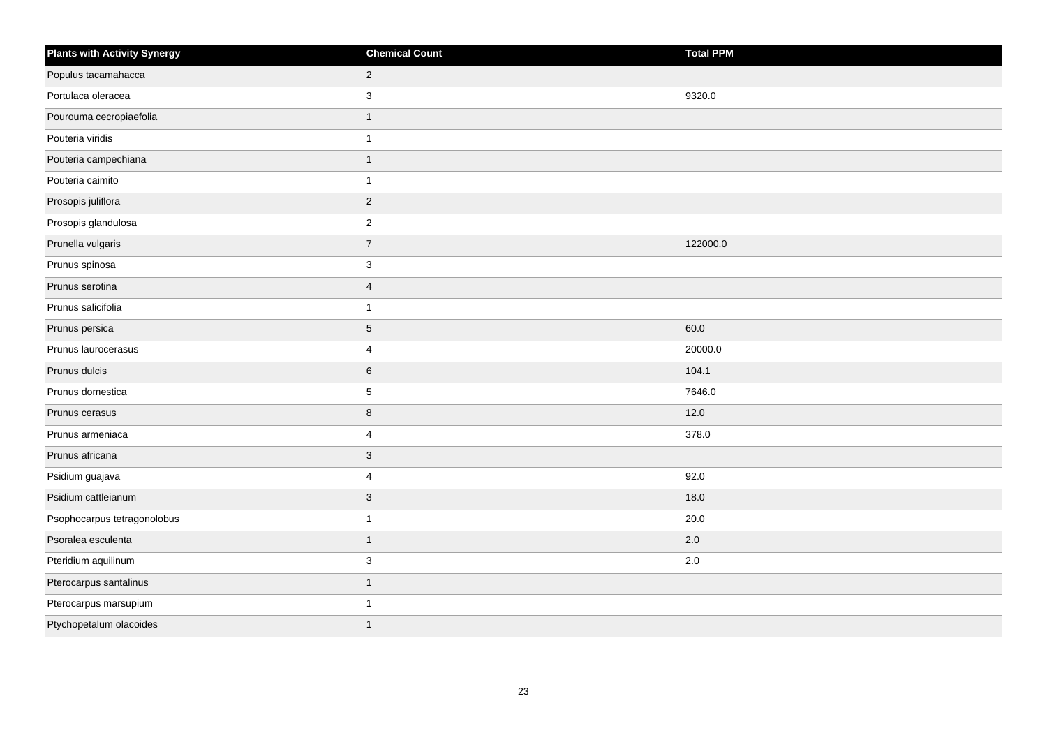| <b>Plants with Activity Synergy</b> | <b>Chemical Count</b>   | Total PPM |
|-------------------------------------|-------------------------|-----------|
| Populus tacamahacca                 | $\overline{2}$          |           |
| Portulaca oleracea                  | 3                       | 9320.0    |
| Pourouma cecropiaefolia             |                         |           |
| Pouteria viridis                    |                         |           |
| Pouteria campechiana                |                         |           |
| Pouteria caimito                    |                         |           |
| Prosopis juliflora                  | $\overline{2}$          |           |
| Prosopis glandulosa                 | $\overline{c}$          |           |
| Prunella vulgaris                   | $\overline{7}$          | 122000.0  |
| Prunus spinosa                      | 3                       |           |
| Prunus serotina                     | $\overline{\mathbf{A}}$ |           |
| Prunus salicifolia                  |                         |           |
| Prunus persica                      | 5                       | 60.0      |
| Prunus laurocerasus                 | $\boldsymbol{\Delta}$   | 20000.0   |
| Prunus dulcis                       | 6                       | 104.1     |
| Prunus domestica                    | 5                       | 7646.0    |
| Prunus cerasus                      | 8                       | 12.0      |
| Prunus armeniaca                    | 4                       | 378.0     |
| Prunus africana                     | 3                       |           |
| Psidium guajava                     | 4                       | 92.0      |
| Psidium cattleianum                 | 3                       | 18.0      |
| Psophocarpus tetragonolobus         |                         | 20.0      |
| Psoralea esculenta                  |                         | 2.0       |
| Pteridium aquilinum                 | 3                       | 2.0       |
| Pterocarpus santalinus              | 1                       |           |
| Pterocarpus marsupium               |                         |           |
| Ptychopetalum olacoides             |                         |           |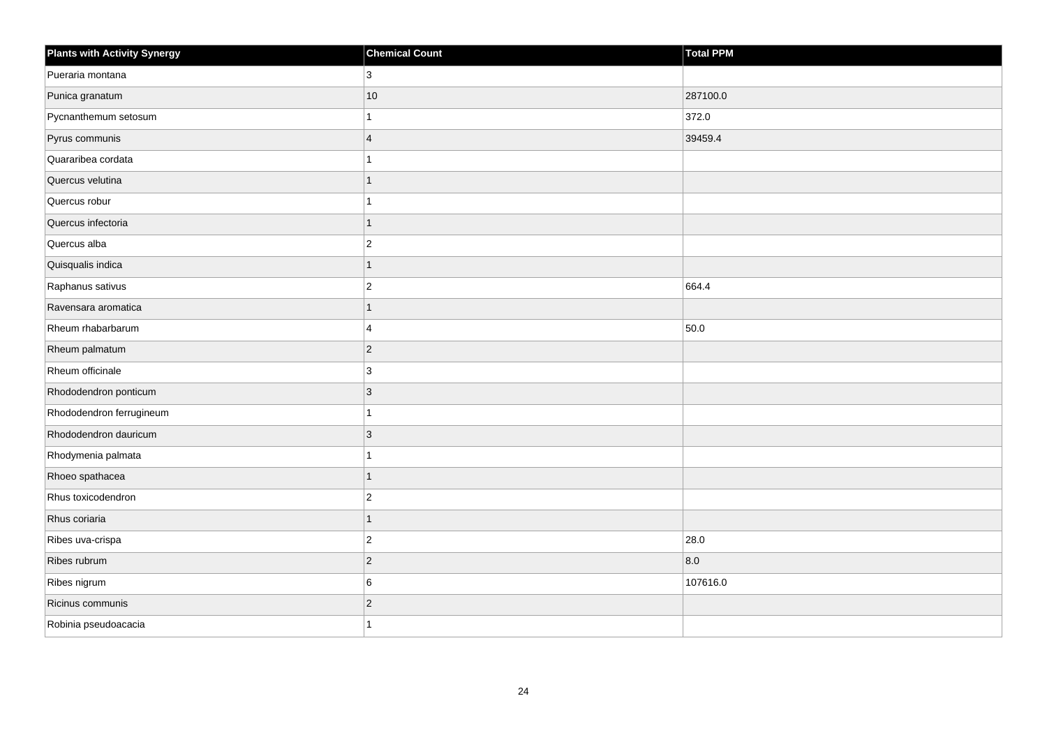| <b>Plants with Activity Synergy</b> | <b>Chemical Count</b> | <b>Total PPM</b> |
|-------------------------------------|-----------------------|------------------|
| Pueraria montana                    | 3                     |                  |
| Punica granatum                     | 10                    | 287100.0         |
| Pycnanthemum setosum                | 1                     | 372.0            |
| Pyrus communis                      | $\overline{4}$        | 39459.4          |
| Quararibea cordata                  |                       |                  |
| Quercus velutina                    | $\overline{1}$        |                  |
| Quercus robur                       | 1                     |                  |
| Quercus infectoria                  | $\overline{1}$        |                  |
| Quercus alba                        | $\overline{c}$        |                  |
| Quisqualis indica                   | $\overline{1}$        |                  |
| Raphanus sativus                    | $\overline{2}$        | 664.4            |
| Ravensara aromatica                 | $\overline{1}$        |                  |
| Rheum rhabarbarum                   | $\overline{4}$        | 50.0             |
| Rheum palmatum                      | $\overline{c}$        |                  |
| Rheum officinale                    | 3                     |                  |
| Rhododendron ponticum               | $\mathbf{3}$          |                  |
| Rhododendron ferrugineum            | 1                     |                  |
| Rhododendron dauricum               | 3                     |                  |
| Rhodymenia palmata                  | 1                     |                  |
| Rhoeo spathacea                     | 1                     |                  |
| Rhus toxicodendron                  | $\overline{2}$        |                  |
| Rhus coriaria                       | $\overline{1}$        |                  |
| Ribes uva-crispa                    | $\overline{c}$        | 28.0             |
| Ribes rubrum                        | $\overline{c}$        | 8.0              |
| Ribes nigrum                        | 6                     | 107616.0         |
| Ricinus communis                    | $\overline{c}$        |                  |
| Robinia pseudoacacia                | 1                     |                  |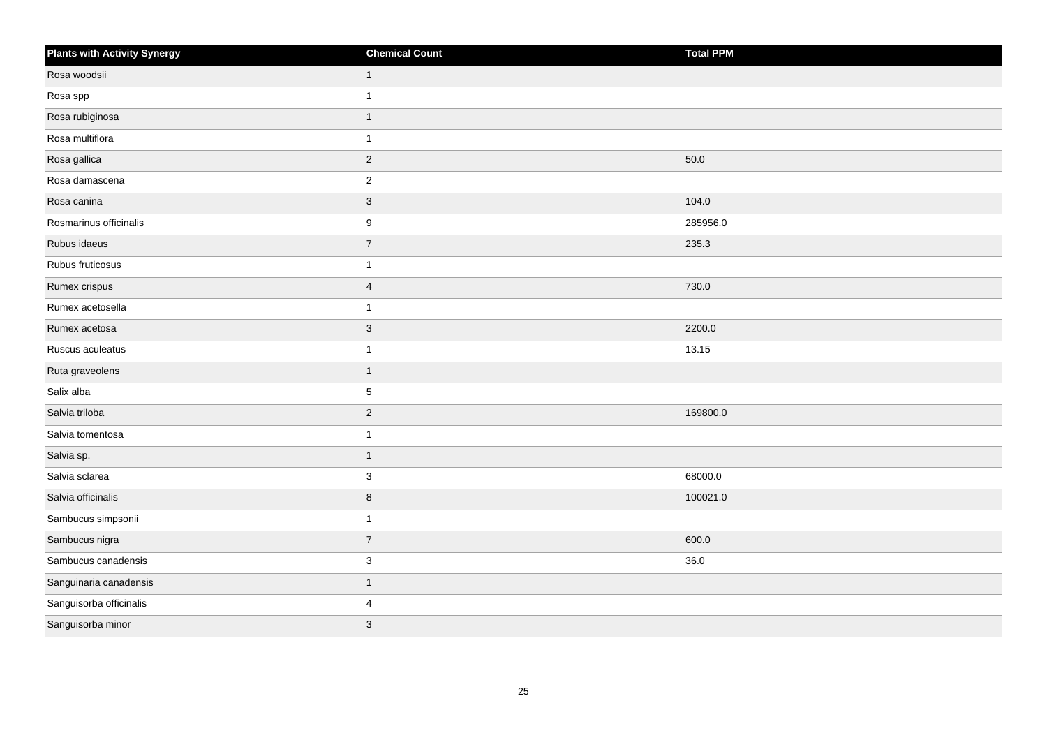| <b>Plants with Activity Synergy</b> | <b>Chemical Count</b> | Total PPM |
|-------------------------------------|-----------------------|-----------|
| Rosa woodsii                        | $\mathbf{1}$          |           |
| Rosa spp                            | 1                     |           |
| Rosa rubiginosa                     | $\overline{1}$        |           |
| Rosa multiflora                     | $\overline{1}$        |           |
| Rosa gallica                        | $ 2\rangle$           | 50.0      |
| Rosa damascena                      | $ 2\rangle$           |           |
| Rosa canina                         | $ 3\rangle$           | 104.0     |
| Rosmarinus officinalis              | 9                     | 285956.0  |
| Rubus idaeus                        | 17                    | 235.3     |
| Rubus fruticosus                    | $\overline{1}$        |           |
| Rumex crispus                       | $\vert 4 \vert$       | 730.0     |
| Rumex acetosella                    | $\mathbf{1}$          |           |
| Rumex acetosa                       | $ 3\rangle$           | 2200.0    |
| Ruscus aculeatus                    | 1                     | 13.15     |
| Ruta graveolens                     | $\overline{1}$        |           |
| Salix alba                          | $\overline{5}$        |           |
| Salvia triloba                      | $ 2\rangle$           | 169800.0  |
| Salvia tomentosa                    | 1                     |           |
| Salvia sp.                          | $\overline{1}$        |           |
| Salvia sclarea                      | $ 3\rangle$           | 68000.0   |
| Salvia officinalis                  | 8                     | 100021.0  |
| Sambucus simpsonii                  | $\mathbf{1}$          |           |
| Sambucus nigra                      | $\overline{7}$        | 600.0     |
| Sambucus canadensis                 | 3                     | 36.0      |
| Sanguinaria canadensis              | $\overline{1}$        |           |
| Sanguisorba officinalis             | 4                     |           |
| Sanguisorba minor                   | 3                     |           |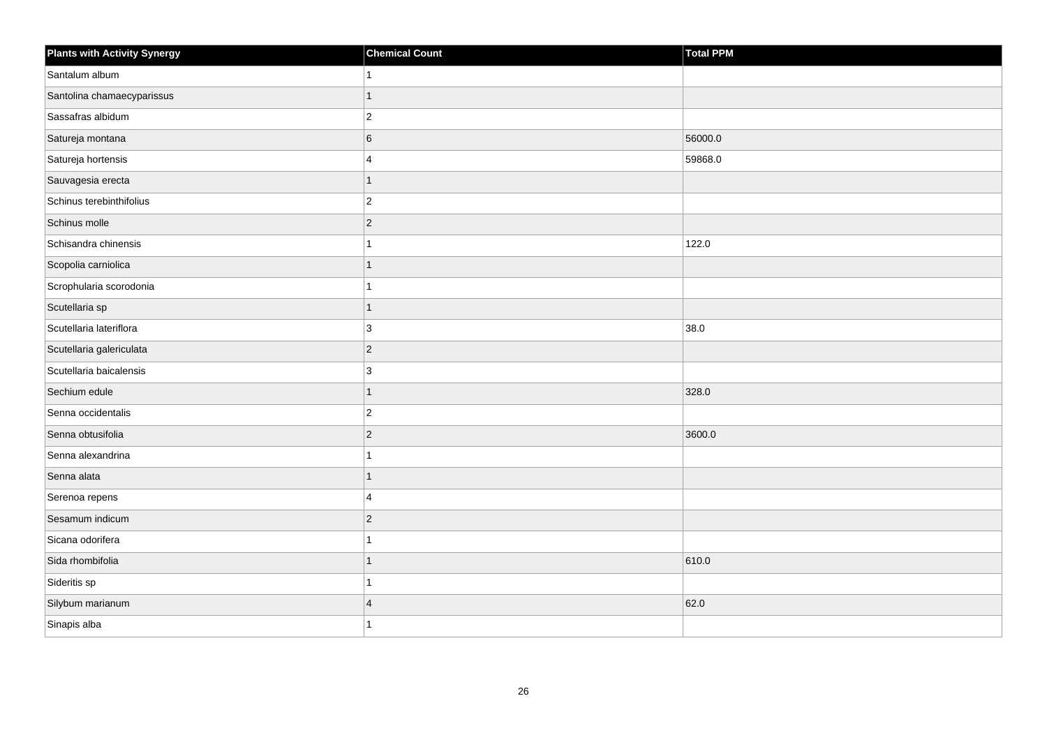| <b>Plants with Activity Synergy</b> | <b>Chemical Count</b> | <b>Total PPM</b> |
|-------------------------------------|-----------------------|------------------|
| Santalum album                      |                       |                  |
| Santolina chamaecyparissus          | 1                     |                  |
| Sassafras albidum                   | $\overline{c}$        |                  |
| Satureja montana                    | 6                     | 56000.0          |
| Satureja hortensis                  | 4                     | 59868.0          |
| Sauvagesia erecta                   | $\overline{1}$        |                  |
| Schinus terebinthifolius            | $\overline{c}$        |                  |
| Schinus molle                       | $\overline{c}$        |                  |
| Schisandra chinensis                | 1                     | 122.0            |
| Scopolia carniolica                 | $\overline{1}$        |                  |
| Scrophularia scorodonia             | 1                     |                  |
| Scutellaria sp                      | $\overline{1}$        |                  |
| Scutellaria lateriflora             | 3                     | 38.0             |
| Scutellaria galericulata            | $\overline{2}$        |                  |
| Scutellaria baicalensis             | 3                     |                  |
| Sechium edule                       | $\overline{1}$        | 328.0            |
| Senna occidentalis                  | $\overline{2}$        |                  |
| Senna obtusifolia                   | $\overline{c}$        | 3600.0           |
| Senna alexandrina                   | 1                     |                  |
| Senna alata                         | 1                     |                  |
| Serenoa repens                      | 4                     |                  |
| Sesamum indicum                     | $\overline{c}$        |                  |
| Sicana odorifera                    | 1                     |                  |
| Sida rhombifolia                    | $\overline{1}$        | 610.0            |
| Sideritis sp                        | 1                     |                  |
| Silybum marianum                    | $\overline{4}$        | 62.0             |
| Sinapis alba                        | 1                     |                  |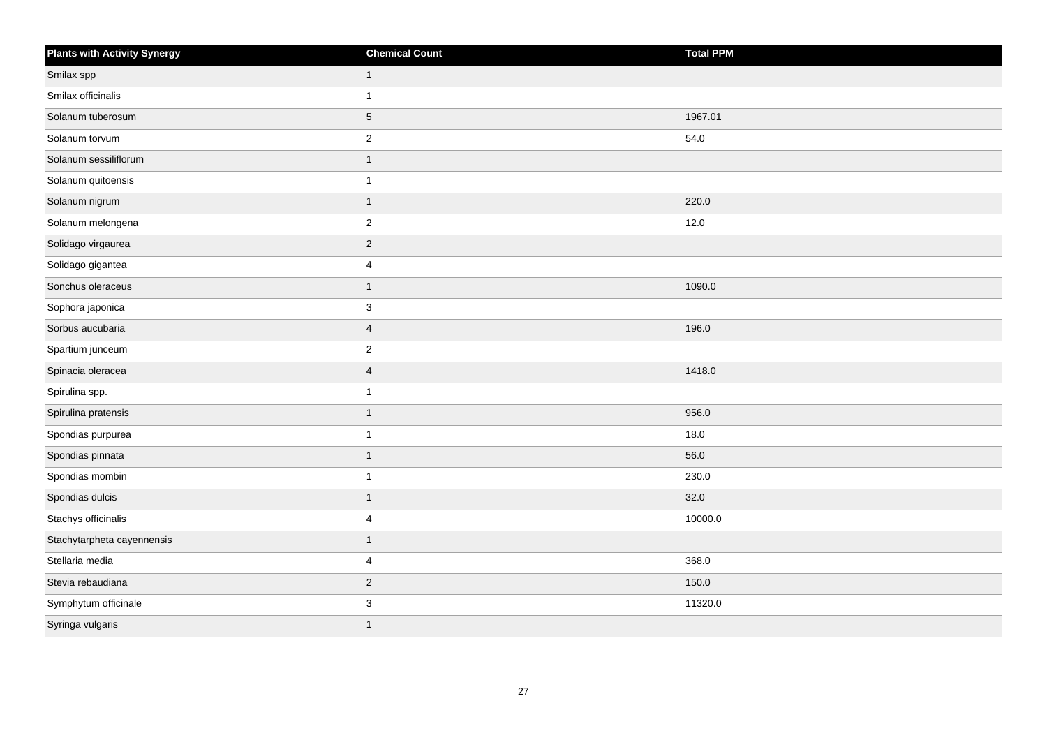| <b>Plants with Activity Synergy</b> | <b>Chemical Count</b>   | Total PPM |
|-------------------------------------|-------------------------|-----------|
| Smilax spp                          |                         |           |
| Smilax officinalis                  |                         |           |
| Solanum tuberosum                   | $\sqrt{5}$              | 1967.01   |
| Solanum torvum                      | $\overline{2}$          | 54.0      |
| Solanum sessiliflorum               | 1                       |           |
| Solanum quitoensis                  |                         |           |
| Solanum nigrum                      | 1                       | 220.0     |
| Solanum melongena                   | $\overline{2}$          | 12.0      |
| Solidago virgaurea                  | $\overline{2}$          |           |
| Solidago gigantea                   | $\overline{\mathbf{A}}$ |           |
| Sonchus oleraceus                   | 1                       | 1090.0    |
| Sophora japonica                    | 3                       |           |
| Sorbus aucubaria                    | $\overline{4}$          | 196.0     |
| Spartium junceum                    | $\overline{2}$          |           |
| Spinacia oleracea                   | $\overline{4}$          | 1418.0    |
| Spirulina spp.                      |                         |           |
| Spirulina pratensis                 |                         | 956.0     |
| Spondias purpurea                   |                         | 18.0      |
| Spondias pinnata                    | 1                       | 56.0      |
| Spondias mombin                     |                         | 230.0     |
| Spondias dulcis                     |                         | 32.0      |
| Stachys officinalis                 | 4                       | 10000.0   |
| Stachytarpheta cayennensis          |                         |           |
| Stellaria media                     | 4                       | 368.0     |
| Stevia rebaudiana                   | $\overline{2}$          | 150.0     |
| Symphytum officinale                | 3                       | 11320.0   |
| Syringa vulgaris                    | 1                       |           |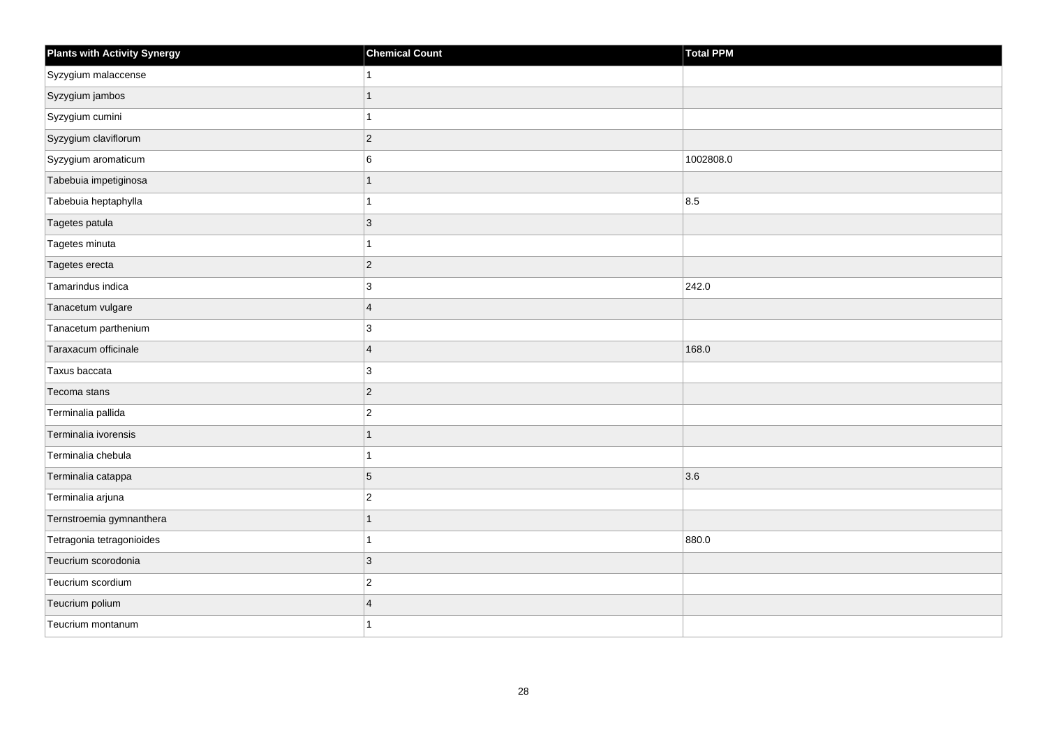| <b>Plants with Activity Synergy</b> | <b>Chemical Count</b>   | Total PPM |
|-------------------------------------|-------------------------|-----------|
| Syzygium malaccense                 |                         |           |
| Syzygium jambos                     |                         |           |
| Syzygium cumini                     |                         |           |
| Syzygium claviflorum                | $\overline{2}$          |           |
| Syzygium aromaticum                 | 6                       | 1002808.0 |
| Tabebuia impetiginosa               |                         |           |
| Tabebuia heptaphylla                |                         | 8.5       |
| Tagetes patula                      | 3                       |           |
| Tagetes minuta                      |                         |           |
| Tagetes erecta                      | $\overline{2}$          |           |
| Tamarindus indica                   | 3                       | 242.0     |
| Tanacetum vulgare                   | $\overline{4}$          |           |
| Tanacetum parthenium                | 3                       |           |
| Taraxacum officinale                | $\overline{4}$          | 168.0     |
| Taxus baccata                       | 3                       |           |
| Tecoma stans                        | $\overline{2}$          |           |
| Terminalia pallida                  | $\overline{2}$          |           |
| Terminalia ivorensis                |                         |           |
| Terminalia chebula                  | 1                       |           |
| Terminalia catappa                  | 5                       | 3.6       |
| Terminalia arjuna                   | $\overline{2}$          |           |
| Ternstroemia gymnanthera            | $\overline{1}$          |           |
| Tetragonia tetragonioides           |                         | 880.0     |
| Teucrium scorodonia                 | 3                       |           |
| Teucrium scordium                   | $\overline{c}$          |           |
| Teucrium polium                     | $\overline{\mathbf{A}}$ |           |
| Teucrium montanum                   |                         |           |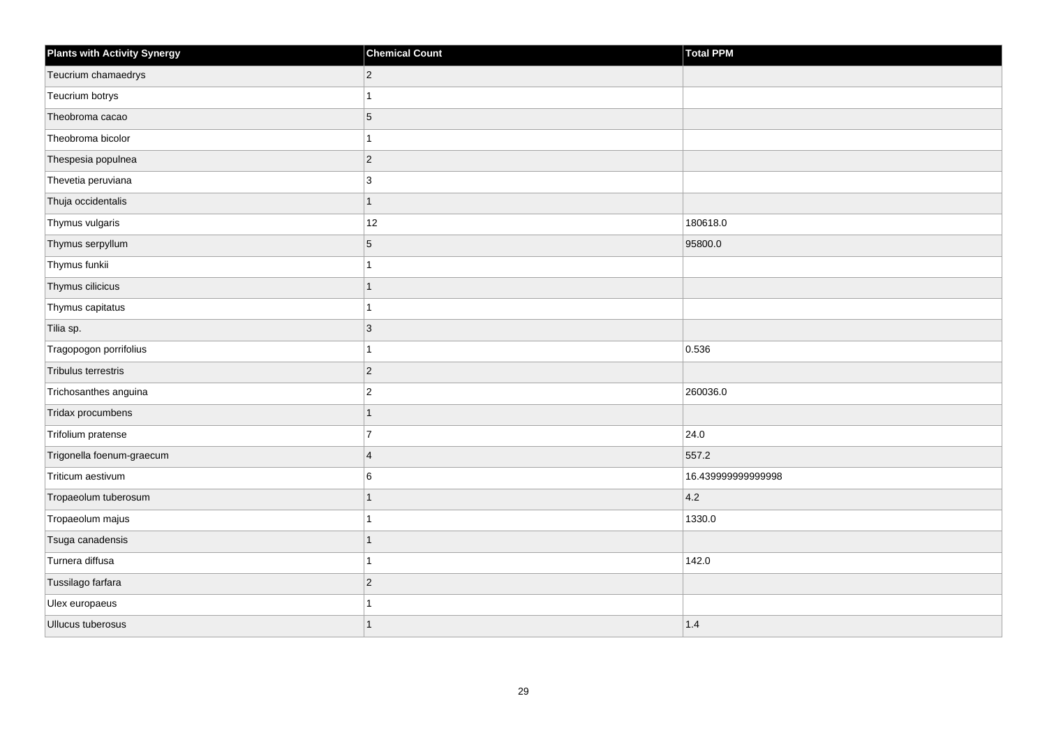| <b>Plants with Activity Synergy</b> | <b>Chemical Count</b> | Total PPM          |
|-------------------------------------|-----------------------|--------------------|
| Teucrium chamaedrys                 | $\overline{2}$        |                    |
| Teucrium botrys                     |                       |                    |
| Theobroma cacao                     | 5                     |                    |
| Theobroma bicolor                   |                       |                    |
| Thespesia populnea                  | $\overline{2}$        |                    |
| Thevetia peruviana                  | 3                     |                    |
| Thuja occidentalis                  | 1                     |                    |
| Thymus vulgaris                     | 12                    | 180618.0           |
| Thymus serpyllum                    | 5                     | 95800.0            |
| Thymus funkii                       |                       |                    |
| Thymus cilicicus                    |                       |                    |
| Thymus capitatus                    |                       |                    |
| Tilia sp.                           | $\overline{3}$        |                    |
| Tragopogon porrifolius              |                       | 0.536              |
| Tribulus terrestris                 | $\overline{2}$        |                    |
| Trichosanthes anguina               | $\overline{2}$        | 260036.0           |
| Tridax procumbens                   |                       |                    |
| Trifolium pratense                  | $\overline{7}$        | 24.0               |
| Trigonella foenum-graecum           | $\overline{4}$        | 557.2              |
| Triticum aestivum                   | 6                     | 16.439999999999998 |
| Tropaeolum tuberosum                |                       | 4.2                |
| Tropaeolum majus                    |                       | 1330.0             |
| Tsuga canadensis                    |                       |                    |
| Turnera diffusa                     |                       | 142.0              |
| Tussilago farfara                   | $\overline{2}$        |                    |
| Ulex europaeus                      |                       |                    |
| Ullucus tuberosus                   | 1                     | 1.4                |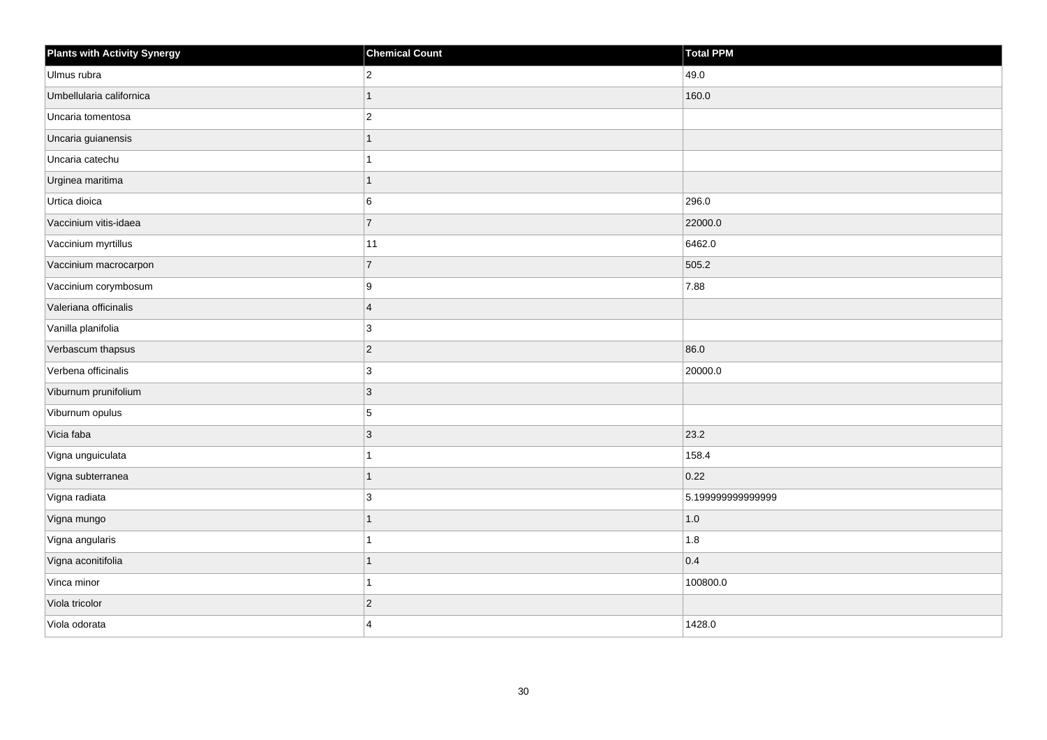| <b>Plants with Activity Synergy</b> | <b>Chemical Count</b>   | Total PPM         |
|-------------------------------------|-------------------------|-------------------|
| Ulmus rubra                         | $\overline{2}$          | 49.0              |
| Umbellularia californica            | 1                       | 160.0             |
| Uncaria tomentosa                   | $\overline{\mathbf{c}}$ |                   |
| Uncaria guianensis                  | 1                       |                   |
| Uncaria catechu                     | 1                       |                   |
| Urginea maritima                    | $\mathbf{1}$            |                   |
| Urtica dioica                       | 6                       | 296.0             |
| Vaccinium vitis-idaea               | $\overline{7}$          | 22000.0           |
| Vaccinium myrtillus                 | 11                      | 6462.0            |
| Vaccinium macrocarpon               | $\overline{7}$          | 505.2             |
| Vaccinium corymbosum                | 9                       | 7.88              |
| Valeriana officinalis               | $\overline{4}$          |                   |
| Vanilla planifolia                  | 3                       |                   |
| Verbascum thapsus                   | $\sqrt{2}$              | 86.0              |
| Verbena officinalis                 | 3                       | 20000.0           |
| Viburnum prunifolium                | 3                       |                   |
| Viburnum opulus                     | 5                       |                   |
| Vicia faba                          | $\vert$ 3               | 23.2              |
| Vigna unguiculata                   | 1                       | 158.4             |
| Vigna subterranea                   | 1                       | 0.22              |
| Vigna radiata                       | 3                       | 5.199999999999999 |
| Vigna mungo                         | 1                       | 1.0               |
| Vigna angularis                     | 1                       | $1.8$             |
| Vigna aconitifolia                  | 1                       | 0.4               |
| Vinca minor                         | 1                       | 100800.0          |
| Viola tricolor                      | $\overline{2}$          |                   |
| Viola odorata                       | $\overline{\mathbf{4}}$ | 1428.0            |